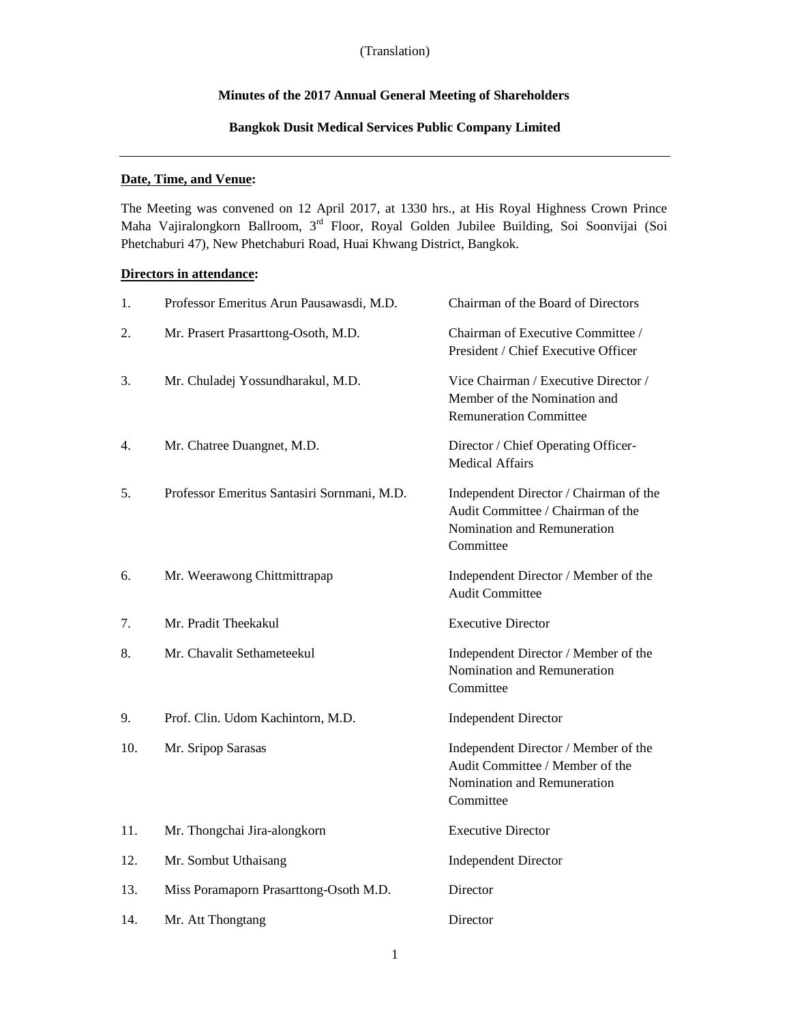# **Minutes of the 2017 Annual General Meeting of Shareholders**

# **Bangkok Dusit Medical Services Public Company Limited**

# **Date, Time, and Venue:**

The Meeting was convened on 12 April 2017, at 1330 hrs., at His Royal Highness Crown Prince Maha Vajiralongkorn Ballroom, 3rd Floor, Royal Golden Jubilee Building, Soi Soonvijai (Soi Phetchaburi 47), New Phetchaburi Road, Huai Khwang District, Bangkok.

# **Directors in attendance:**

| 1.  | Professor Emeritus Arun Pausawasdi, M.D.    | Chairman of the Board of Directors                                                                                      |
|-----|---------------------------------------------|-------------------------------------------------------------------------------------------------------------------------|
| 2.  | Mr. Prasert Prasarttong-Osoth, M.D.         | Chairman of Executive Committee /<br>President / Chief Executive Officer                                                |
| 3.  | Mr. Chuladej Yossundharakul, M.D.           | Vice Chairman / Executive Director /<br>Member of the Nomination and<br><b>Remuneration Committee</b>                   |
| 4.  | Mr. Chatree Duangnet, M.D.                  | Director / Chief Operating Officer-<br><b>Medical Affairs</b>                                                           |
| 5.  | Professor Emeritus Santasiri Sornmani, M.D. | Independent Director / Chairman of the<br>Audit Committee / Chairman of the<br>Nomination and Remuneration<br>Committee |
| 6.  | Mr. Weerawong Chittmittrapap                | Independent Director / Member of the<br><b>Audit Committee</b>                                                          |
| 7.  | Mr. Pradit Theekakul                        | <b>Executive Director</b>                                                                                               |
| 8.  | Mr. Chavalit Sethameteekul                  | Independent Director / Member of the<br>Nomination and Remuneration<br>Committee                                        |
| 9.  | Prof. Clin. Udom Kachintorn, M.D.           | <b>Independent Director</b>                                                                                             |
| 10. | Mr. Sripop Sarasas                          | Independent Director / Member of the<br>Audit Committee / Member of the<br>Nomination and Remuneration<br>Committee     |
| 11. | Mr. Thongchai Jira-alongkorn                | <b>Executive Director</b>                                                                                               |
| 12. | Mr. Sombut Uthaisang                        | <b>Independent Director</b>                                                                                             |
| 13. | Miss Poramaporn Prasarttong-Osoth M.D.      | Director                                                                                                                |
| 14. | Mr. Att Thongtang                           | Director                                                                                                                |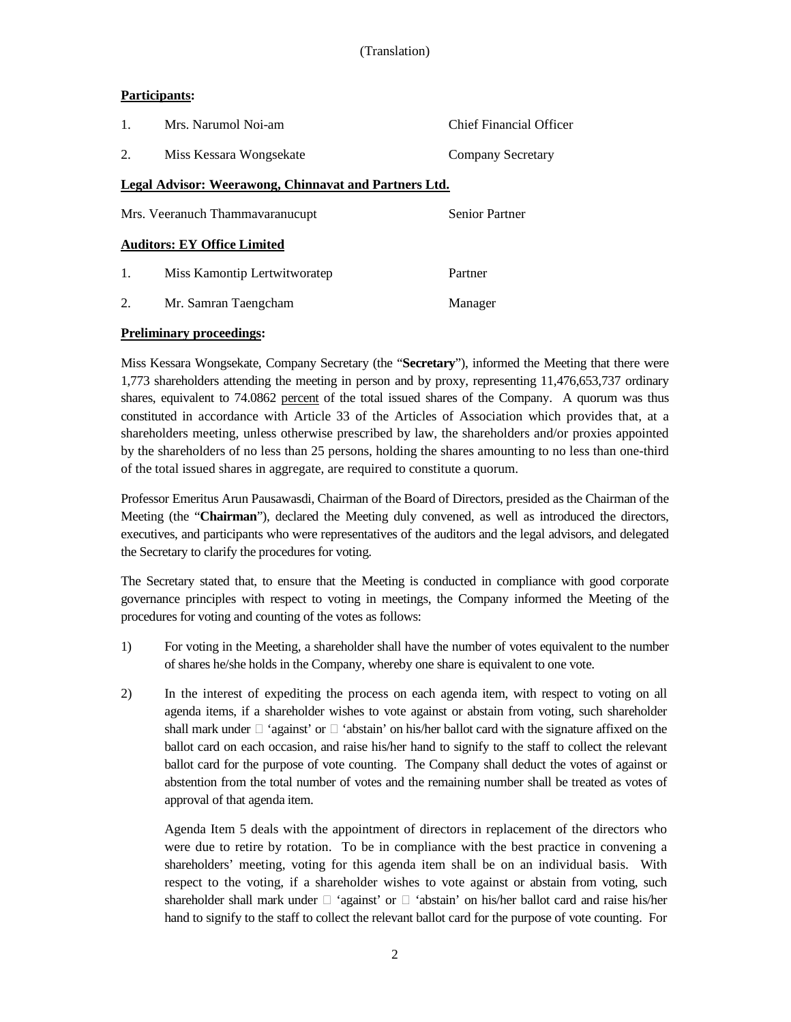# **Participants:**

|                  | Mrs. Narumol Noi-am                                      | Chief Financial Officer |  |  |  |
|------------------|----------------------------------------------------------|-------------------------|--|--|--|
| $\overline{2}$ . | Miss Kessara Wongsekate                                  | Company Secretary       |  |  |  |
|                  | Legal Advisor: Weerawong, Chinnavat and Partners Ltd.    |                         |  |  |  |
|                  | <b>Senior Partner</b><br>Mrs. Veeranuch Thammavaranucupt |                         |  |  |  |
|                  | <b>Auditors: EY Office Limited</b>                       |                         |  |  |  |
| 1.               | Miss Kamontip Lertwitworatep                             | Partner                 |  |  |  |
| 2.               | Mr. Samran Taengcham                                     | Manager                 |  |  |  |

# **Preliminary proceedings:**

Miss Kessara Wongsekate, Company Secretary (the "**Secretary**"), informed the Meeting that there were 1,773 shareholders attending the meeting in person and by proxy, representing 11,476,653,737 ordinary shares, equivalent to 74.0862 percent of the total issued shares of the Company. A quorum was thus constituted in accordance with Article 33 of the Articles of Association which provides that, at a shareholders meeting, unless otherwise prescribed by law, the shareholders and/or proxies appointed by the shareholders of no less than 25 persons, holding the shares amounting to no less than one-third of the total issued shares in aggregate, are required to constitute a quorum.

Professor Emeritus Arun Pausawasdi, Chairman of the Board of Directors, presided as the Chairman of the Meeting (the "**Chairman**"), declared the Meeting duly convened, as well as introduced the directors, executives, and participants who were representatives of the auditors and the legal advisors, and delegated the Secretary to clarify the procedures for voting.

The Secretary stated that, to ensure that the Meeting is conducted in compliance with good corporate governance principles with respect to voting in meetings, the Company informed the Meeting of the procedures for voting and counting of the votes as follows:

- 1) For voting in the Meeting, a shareholder shall have the number of votes equivalent to the number of shares he/she holds in the Company, whereby one share is equivalent to one vote.
- 2) In the interest of expediting the process on each agenda item, with respect to voting on all agenda items, if a shareholder wishes to vote against or abstain from voting, such shareholder shall mark under  $\Box$  'against' or  $\Box$  'abstain' on his/her ballot card with the signature affixed on the ballot card on each occasion, and raise his/her hand to signify to the staff to collect the relevant ballot card for the purpose of vote counting. The Company shall deduct the votes of against or abstention from the total number of votes and the remaining number shall be treated as votes of approval of that agenda item.

Agenda Item 5 deals with the appointment of directors in replacement of the directors who were due to retire by rotation. To be in compliance with the best practice in convening a shareholders' meeting, voting for this agenda item shall be on an individual basis. With respect to the voting, if a shareholder wishes to vote against or abstain from voting, such shareholder shall mark under  $\Box$  'against' or  $\Box$  'abstain' on his/her ballot card and raise his/her hand to signify to the staff to collect the relevant ballot card for the purpose of vote counting. For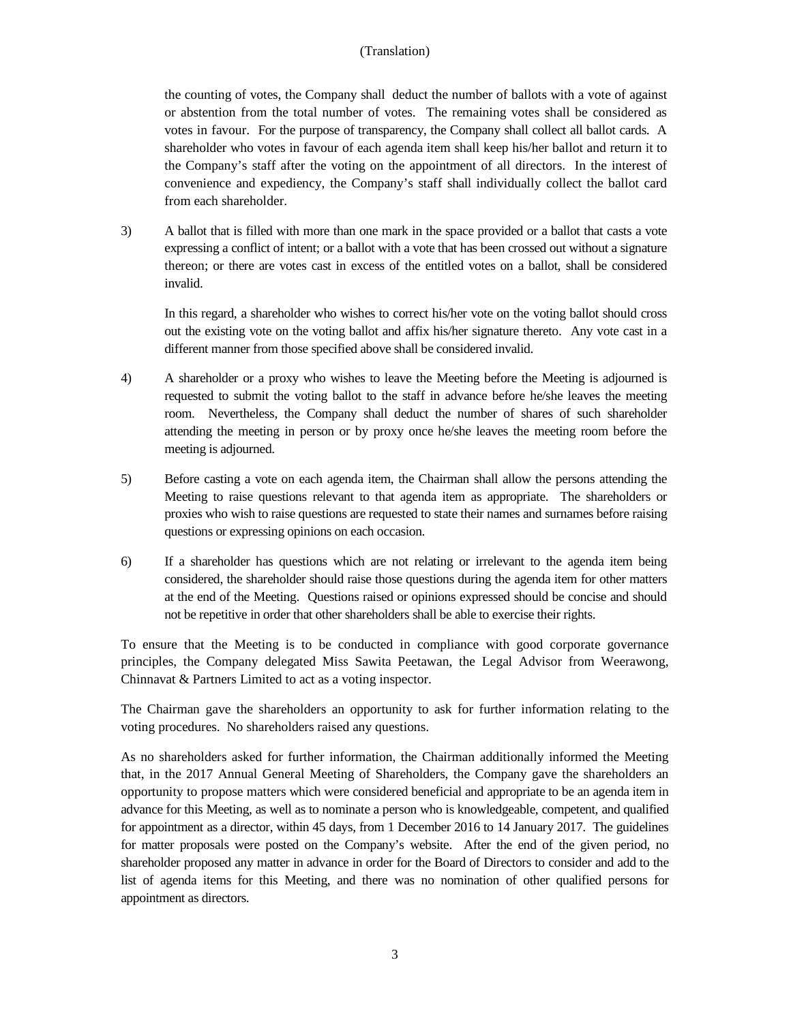the counting of votes, the Company shall deduct the number of ballots with a vote of against or abstention from the total number of votes. The remaining votes shall be considered as votes in favour. For the purpose of transparency, the Company shall collect all ballot cards. A shareholder who votes in favour of each agenda item shall keep his/her ballot and return it to the Company's staff after the voting on the appointment of all directors. In the interest of convenience and expediency, the Company's staff shall individually collect the ballot card from each shareholder.

3) A ballot that is filled with more than one mark in the space provided or a ballot that casts a vote expressing a conflict of intent; or a ballot with a vote that has been crossed out without a signature thereon; or there are votes cast in excess of the entitled votes on a ballot, shall be considered invalid.

In this regard, a shareholder who wishes to correct his/her vote on the voting ballot should cross out the existing vote on the voting ballot and affix his/her signature thereto. Any vote cast in a different manner from those specified above shall be considered invalid.

- 4) A shareholder or a proxy who wishes to leave the Meeting before the Meeting is adjourned is requested to submit the voting ballot to the staff in advance before he/she leaves the meeting room. Nevertheless, the Company shall deduct the number of shares of such shareholder attending the meeting in person or by proxy once he/she leaves the meeting room before the meeting is adjourned.
- 5) Before casting a vote on each agenda item, the Chairman shall allow the persons attending the Meeting to raise questions relevant to that agenda item as appropriate. The shareholders or proxies who wish to raise questions are requested to state their names and surnames before raising questions or expressing opinions on each occasion.
- 6) If a shareholder has questions which are not relating or irrelevant to the agenda item being considered, the shareholder should raise those questions during the agenda item for other matters at the end of the Meeting. Questions raised or opinions expressed should be concise and should not be repetitive in order that other shareholders shall be able to exercise their rights.

To ensure that the Meeting is to be conducted in compliance with good corporate governance principles, the Company delegated Miss Sawita Peetawan, the Legal Advisor from Weerawong, Chinnavat & Partners Limited to act as a voting inspector.

The Chairman gave the shareholders an opportunity to ask for further information relating to the voting procedures. No shareholders raised any questions.

As no shareholders asked for further information, the Chairman additionally informed the Meeting that, in the 2017 Annual General Meeting of Shareholders, the Company gave the shareholders an opportunity to propose matters which were considered beneficial and appropriate to be an agenda item in advance for this Meeting, as well as to nominate a person who is knowledgeable, competent, and qualified for appointment as a director, within 45 days, from 1 December 2016 to 14 January 2017. The guidelines for matter proposals were posted on the Company's website. After the end of the given period, no shareholder proposed any matter in advance in order for the Board of Directors to consider and add to the list of agenda items for this Meeting, and there was no nomination of other qualified persons for appointment as directors.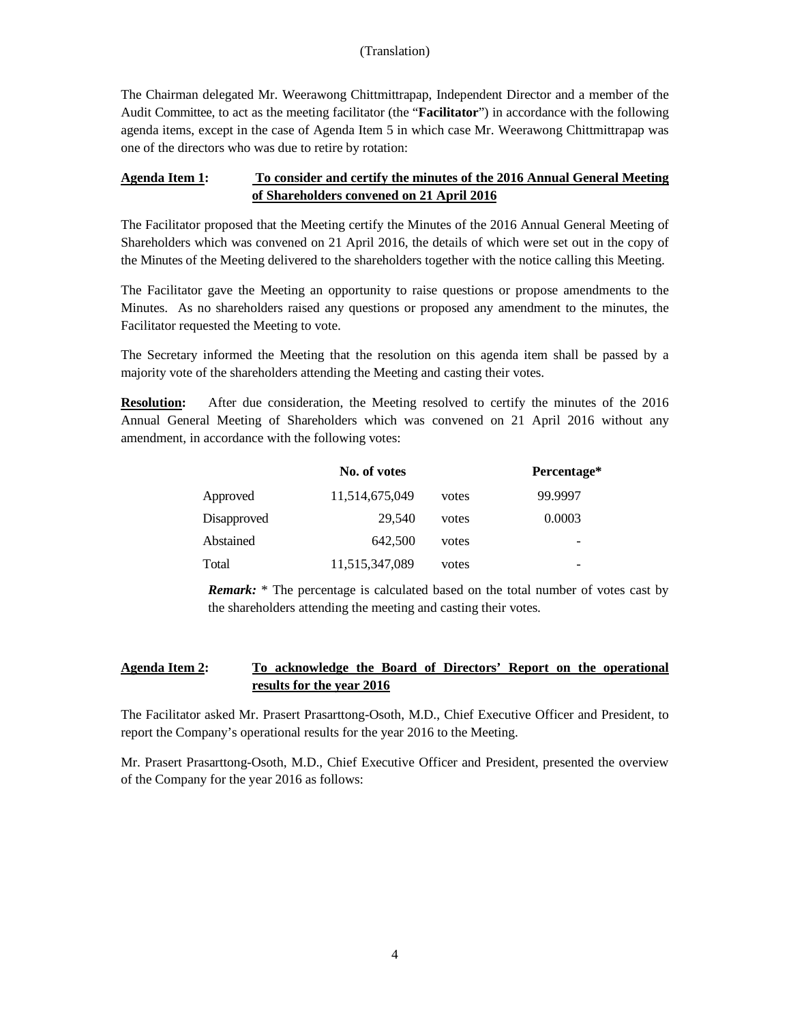The Chairman delegated Mr. Weerawong Chittmittrapap, Independent Director and a member of the Audit Committee, to act as the meeting facilitator (the "**Facilitator**") in accordance with the following agenda items, except in the case of Agenda Item 5 in which case Mr. Weerawong Chittmittrapap was one of the directors who was due to retire by rotation:

# **Agenda Item 1: To consider and certify the minutes of the 2016 Annual General Meeting of Shareholders convened on 21 April 2016**

The Facilitator proposed that the Meeting certify the Minutes of the 2016 Annual General Meeting of Shareholders which was convened on 21 April 2016, the details of which were set out in the copy of the Minutes of the Meeting delivered to the shareholders together with the notice calling this Meeting.

The Facilitator gave the Meeting an opportunity to raise questions or propose amendments to the Minutes. As no shareholders raised any questions or proposed any amendment to the minutes, the Facilitator requested the Meeting to vote.

The Secretary informed the Meeting that the resolution on this agenda item shall be passed by a majority vote of the shareholders attending the Meeting and casting their votes.

**Resolution:** After due consideration, the Meeting resolved to certify the minutes of the 2016 Annual General Meeting of Shareholders which was convened on 21 April 2016 without any amendment, in accordance with the following votes:

|             | No. of votes   |       | Percentage* |
|-------------|----------------|-------|-------------|
| Approved    | 11,514,675,049 | votes | 99.9997     |
| Disapproved | 29.540         | votes | 0.0003      |
| Abstained   | 642,500        | votes |             |
| Total       | 11,515,347,089 | votes | -           |

*Remark:* \* The percentage is calculated based on the total number of votes cast by the shareholders attending the meeting and casting their votes.

# **Agenda Item 2: To acknowledge the Board of Directors' Report on the operational results for the year 2016**

The Facilitator asked Mr. Prasert Prasarttong-Osoth, M.D., Chief Executive Officer and President, to report the Company's operational results for the year 2016 to the Meeting.

Mr. Prasert Prasarttong-Osoth, M.D., Chief Executive Officer and President, presented the overview of the Company for the year 2016 as follows: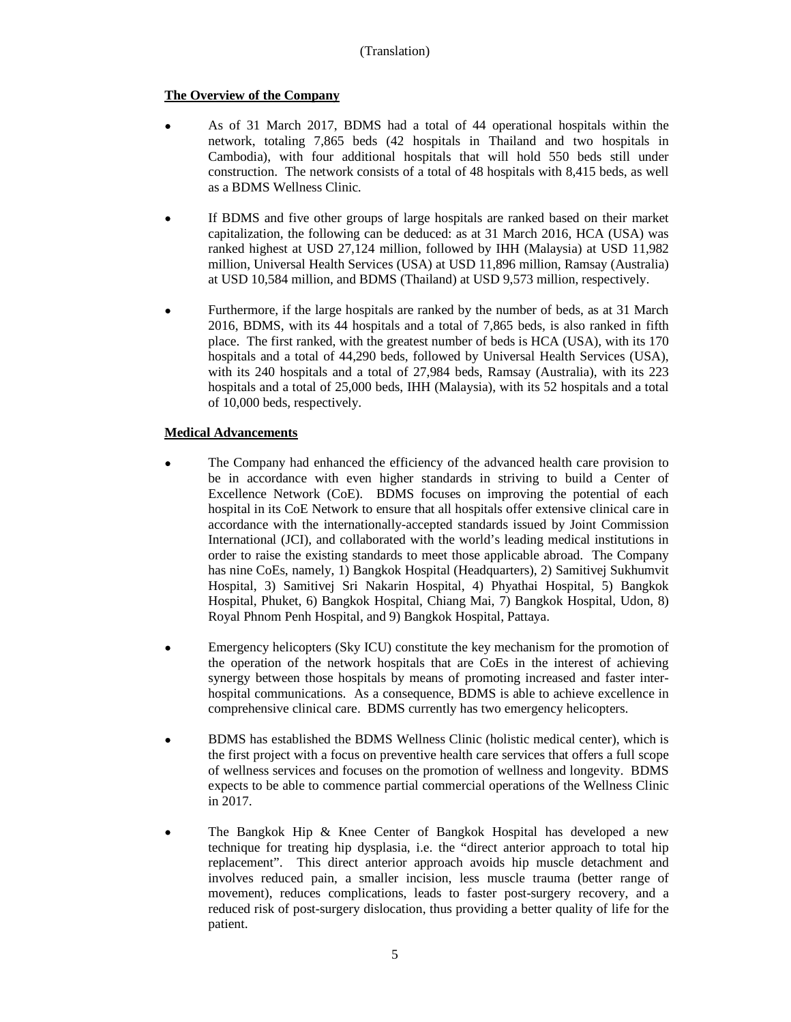# **The Overview of the Company**

- As of 31 March 2017, BDMS had a total of 44 operational hospitals within the network, totaling 7,865 beds (42 hospitals in Thailand and two hospitals in Cambodia), with four additional hospitals that will hold 550 beds still under construction. The network consists of a total of 48 hospitals with 8,415 beds, as well as a BDMS Wellness Clinic.
- If BDMS and five other groups of large hospitals are ranked based on their market capitalization, the following can be deduced: as at 31 March 2016, HCA (USA) was ranked highest at USD 27,124 million, followed by IHH (Malaysia) at USD 11,982 million, Universal Health Services (USA) at USD 11,896 million, Ramsay (Australia) at USD 10,584 million, and BDMS (Thailand) at USD 9,573 million, respectively.
- Furthermore, if the large hospitals are ranked by the number of beds, as at 31 March 2016, BDMS, with its 44 hospitals and a total of 7,865 beds, is also ranked in fifth place. The first ranked, with the greatest number of beds is HCA (USA), with its 170 hospitals and a total of 44,290 beds, followed by Universal Health Services (USA), with its 240 hospitals and a total of 27,984 beds, Ramsay (Australia), with its 223 hospitals and a total of 25,000 beds, IHH (Malaysia), with its 52 hospitals and a total of 10,000 beds, respectively.

# **Medical Advancements**

- The Company had enhanced the efficiency of the advanced health care provision to be in accordance with even higher standards in striving to build a Center of Excellence Network (CoE). BDMS focuses on improving the potential of each hospital in its CoE Network to ensure that all hospitals offer extensive clinical care in accordance with the internationally-accepted standards issued by Joint Commission International (JCI), and collaborated with the world's leading medical institutions in order to raise the existing standards to meet those applicable abroad. The Company has nine CoEs, namely, 1) Bangkok Hospital (Headquarters), 2) Samitivej Sukhumvit Hospital, 3) Samitivej Sri Nakarin Hospital, 4) Phyathai Hospital, 5) Bangkok Hospital, Phuket, 6) Bangkok Hospital, Chiang Mai, 7) Bangkok Hospital, Udon, 8) Royal Phnom Penh Hospital, and 9) Bangkok Hospital, Pattaya.
- Emergency helicopters (Sky ICU) constitute the key mechanism for the promotion of the operation of the network hospitals that are CoEs in the interest of achieving synergy between those hospitals by means of promoting increased and faster interhospital communications. As a consequence, BDMS is able to achieve excellence in comprehensive clinical care. BDMS currently has two emergency helicopters.
- BDMS has established the BDMS Wellness Clinic (holistic medical center), which is the first project with a focus on preventive health care services that offers a full scope of wellness services and focuses on the promotion of wellness and longevity. BDMS expects to be able to commence partial commercial operations of the Wellness Clinic in 2017.
- The Bangkok Hip & Knee Center of Bangkok Hospital has developed a new technique for treating hip dysplasia, i.e. the "direct anterior approach to total hip replacement". This direct anterior approach avoids hip muscle detachment and involves reduced pain, a smaller incision, less muscle trauma (better range of movement), reduces complications, leads to faster post-surgery recovery, and a reduced risk of post-surgery dislocation, thus providing a better quality of life for the patient.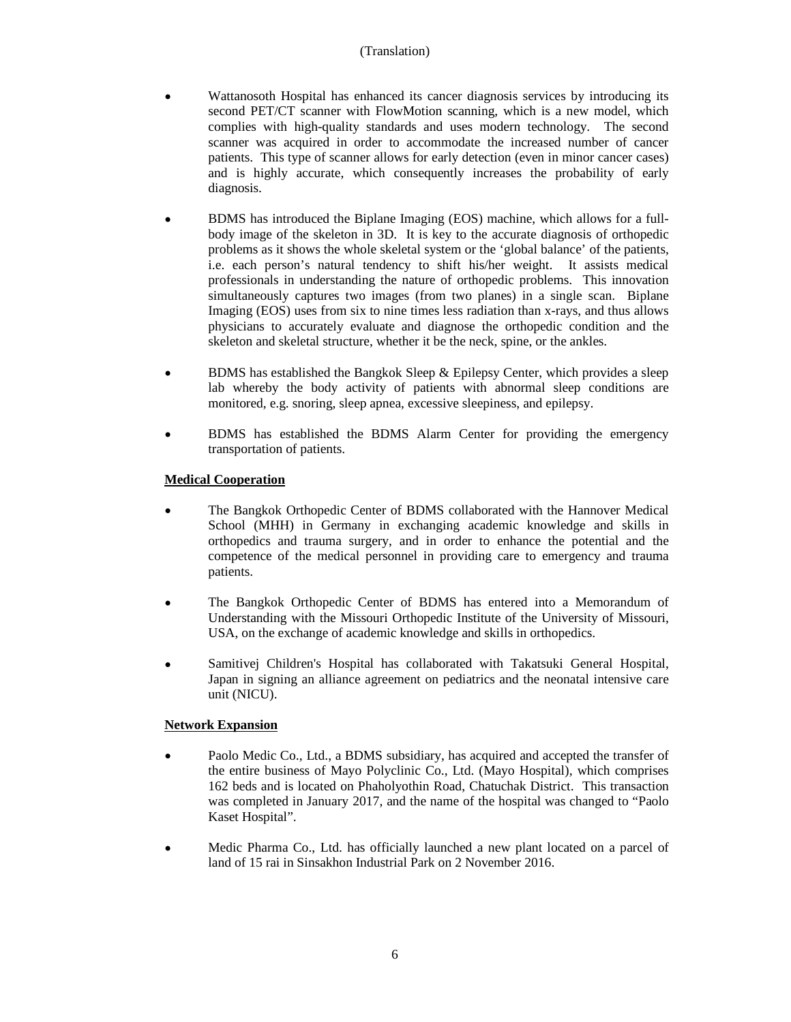- Wattanosoth Hospital has enhanced its cancer diagnosis services by introducing its second PET/CT scanner with FlowMotion scanning, which is a new model, which complies with high-quality standards and uses modern technology. The second scanner was acquired in order to accommodate the increased number of cancer patients. This type of scanner allows for early detection (even in minor cancer cases) and is highly accurate, which consequently increases the probability of early diagnosis.
- BDMS has introduced the Biplane Imaging (EOS) machine, which allows for a fullbody image of the skeleton in 3D. It is key to the accurate diagnosis of orthopedic problems as it shows the whole skeletal system or the 'global balance' of the patients, i.e. each person's natural tendency to shift his/her weight. It assists medical professionals in understanding the nature of orthopedic problems. This innovation simultaneously captures two images (from two planes) in a single scan. Biplane Imaging (EOS) uses from six to nine times less radiation than x-rays, and thus allows physicians to accurately evaluate and diagnose the orthopedic condition and the skeleton and skeletal structure, whether it be the neck, spine, or the ankles.
- BDMS has established the Bangkok Sleep & Epilepsy Center, which provides a sleep lab whereby the body activity of patients with abnormal sleep conditions are monitored, e.g. snoring, sleep apnea, excessive sleepiness, and epilepsy.
- BDMS has established the BDMS Alarm Center for providing the emergency transportation of patients.

# **Medical Cooperation**

- The Bangkok Orthopedic Center of BDMS collaborated with the Hannover Medical School (MHH) in Germany in exchanging academic knowledge and skills in orthopedics and trauma surgery, and in order to enhance the potential and the competence of the medical personnel in providing care to emergency and trauma patients.
- The Bangkok Orthopedic Center of BDMS has entered into a Memorandum of Understanding with the Missouri Orthopedic Institute of the University of Missouri, USA, on the exchange of academic knowledge and skills in orthopedics.
- Samitivej Children's Hospital has collaborated with Takatsuki General Hospital, Japan in signing an alliance agreement on pediatrics and the neonatal intensive care unit (NICU).

# **Network Expansion**

- Paolo Medic Co., Ltd., a BDMS subsidiary, has acquired and accepted the transfer of the entire business of Mayo Polyclinic Co., Ltd. (Mayo Hospital), which comprises 162 beds and is located on Phaholyothin Road, Chatuchak District. This transaction was completed in January 2017, and the name of the hospital was changed to "Paolo Kaset Hospital".
- Medic Pharma Co., Ltd. has officially launched a new plant located on a parcel of land of 15 rai in Sinsakhon Industrial Park on 2 November 2016.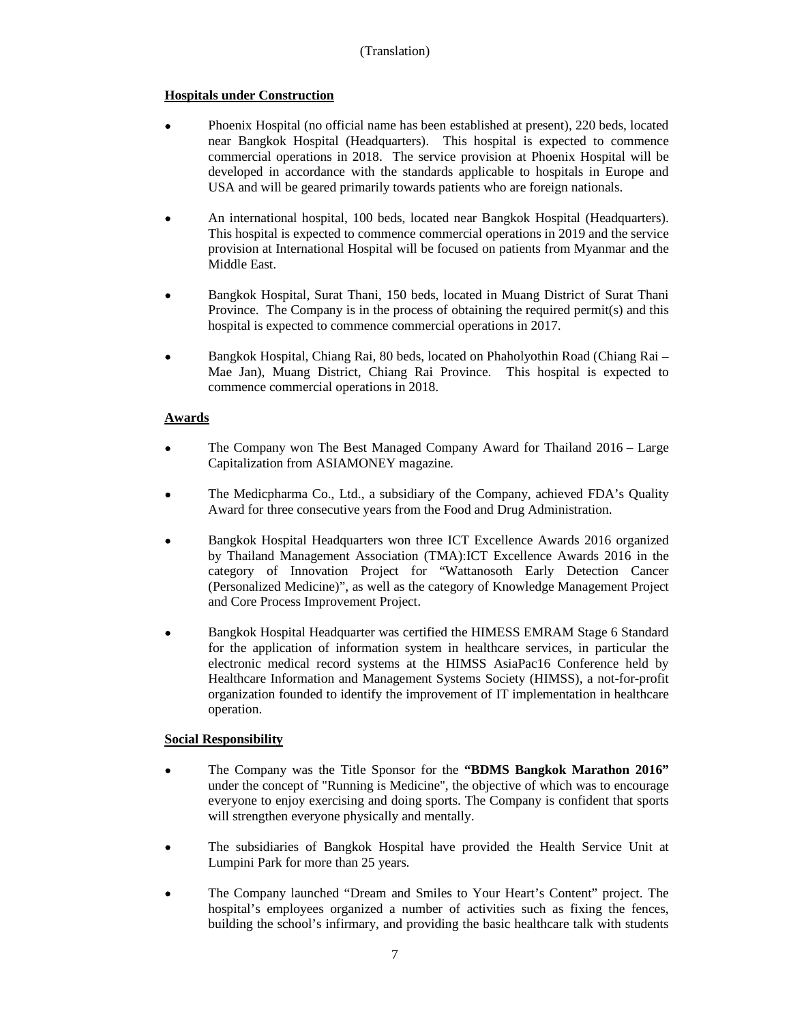# **Hospitals under Construction**

- Phoenix Hospital (no official name has been established at present), 220 beds, located near Bangkok Hospital (Headquarters). This hospital is expected to commence commercial operations in 2018. The service provision at Phoenix Hospital will be developed in accordance with the standards applicable to hospitals in Europe and USA and will be geared primarily towards patients who are foreign nationals.
- An international hospital, 100 beds, located near Bangkok Hospital (Headquarters). This hospital is expected to commence commercial operations in 2019 and the service provision at International Hospital will be focused on patients from Myanmar and the Middle East.
- Bangkok Hospital, Surat Thani, 150 beds, located in Muang District of Surat Thani Province. The Company is in the process of obtaining the required permit(s) and this hospital is expected to commence commercial operations in 2017.
- Bangkok Hospital, Chiang Rai, 80 beds, located on Phaholyothin Road (Chiang Rai Mae Jan), Muang District, Chiang Rai Province. This hospital is expected to commence commercial operations in 2018.

# **Awards**

- The Company won The Best Managed Company Award for Thailand 2016 Large Capitalization from ASIAMONEY magazine.
- The Medicpharma Co., Ltd., a subsidiary of the Company, achieved FDA's Quality Award for three consecutive years from the Food and Drug Administration.
- Bangkok Hospital Headquarters won three ICT Excellence Awards 2016 organized by Thailand Management Association (TMA):ICT Excellence Awards 2016 in the category of Innovation Project for "Wattanosoth Early Detection Cancer (Personalized Medicine)", as well as the category of Knowledge Management Project and Core Process Improvement Project.
- Bangkok Hospital Headquarter was certified the HIMESS EMRAM Stage 6 Standard for the application of information system in healthcare services, in particular the electronic medical record systems at the HIMSS AsiaPac16 Conference held by Healthcare Information and Management Systems Society (HIMSS), a not-for-profit organization founded to identify the improvement of IT implementation in healthcare operation.

# **Social Responsibility**

- The Company was the Title Sponsor for the **"BDMS Bangkok Marathon 2016"**  under the concept of "Running is Medicine", the objective of which was to encourage everyone to enjoy exercising and doing sports. The Company is confident that sports will strengthen everyone physically and mentally.
- The subsidiaries of Bangkok Hospital have provided the Health Service Unit at Lumpini Park for more than 25 years.
- The Company launched "Dream and Smiles to Your Heart's Content" project. The hospital's employees organized a number of activities such as fixing the fences, building the school's infirmary, and providing the basic healthcare talk with students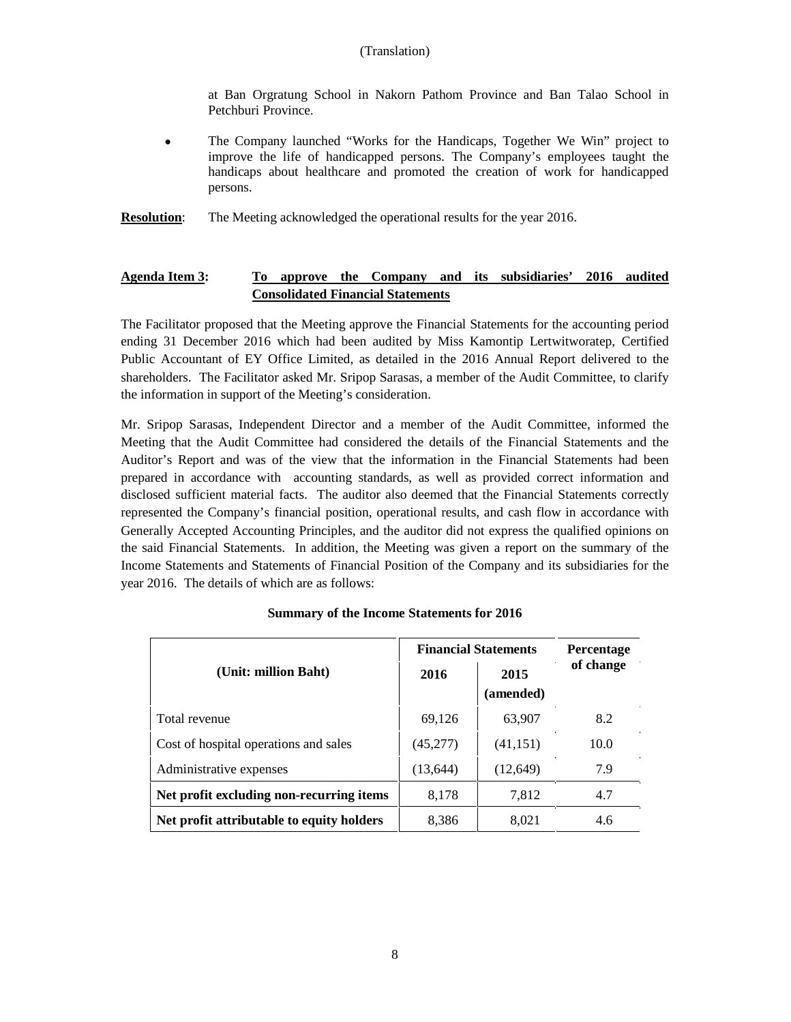at Ban Orgratung School in Nakorn Pathom Province and Ban Talao School in Petchburi Province.

- The Company launched "Works for the Handicaps, Together We Win" project to improve the life of handicapped persons. The Company's employees taught the handicaps about healthcare and promoted the creation of work for handicapped persons.
- **Resolution:** The Meeting acknowledged the operational results for the year 2016.

# **Agenda Item 3: To approve the Company and its subsidiaries' 2016 audited Consolidated Financial Statements**

The Facilitator proposed that the Meeting approve the Financial Statements for the accounting period ending 31 December 2016 which had been audited by Miss Kamontip Lertwitworatep, Certified Public Accountant of EY Office Limited, as detailed in the 2016 Annual Report delivered to the shareholders. The Facilitator asked Mr. Sripop Sarasas, a member of the Audit Committee, to clarify the information in support of the Meeting's consideration.

Mr. Sripop Sarasas, Independent Director and a member of the Audit Committee, informed the Meeting that the Audit Committee had considered the details of the Financial Statements and the Auditor's Report and was of the view that the information in the Financial Statements had been prepared in accordance with accounting standards, as well as provided correct information and disclosed sufficient material facts. The auditor also deemed that the Financial Statements correctly represented the Company's financial position, operational results, and cash flow in accordance with Generally Accepted Accounting Principles, and the auditor did not express the qualified opinions on the said Financial Statements. In addition, the Meeting was given a report on the summary of the Income Statements and Statements of Financial Position of the Company and its subsidiaries for the year 2016. The details of which are as follows:

#### **Summary of the Income Statements for 2016**

|                                           | <b>Financial Statements</b> | <b>Percentage</b> |           |
|-------------------------------------------|-----------------------------|-------------------|-----------|
| (Unit: million Baht)                      | 2016                        | 2015<br>(amended) | of change |
| Total revenue                             | 69,126                      | 63,907            | 8.2       |
| Cost of hospital operations and sales     | (45, 277)                   | (41, 151)         | 10.0      |
| Administrative expenses                   | (13, 644)                   | (12,649)          | 7.9       |
| Net profit excluding non-recurring items  | 8,178                       | 7.812             | 4.7       |
| Net profit attributable to equity holders | 8,386                       | 8.021             | 4.6       |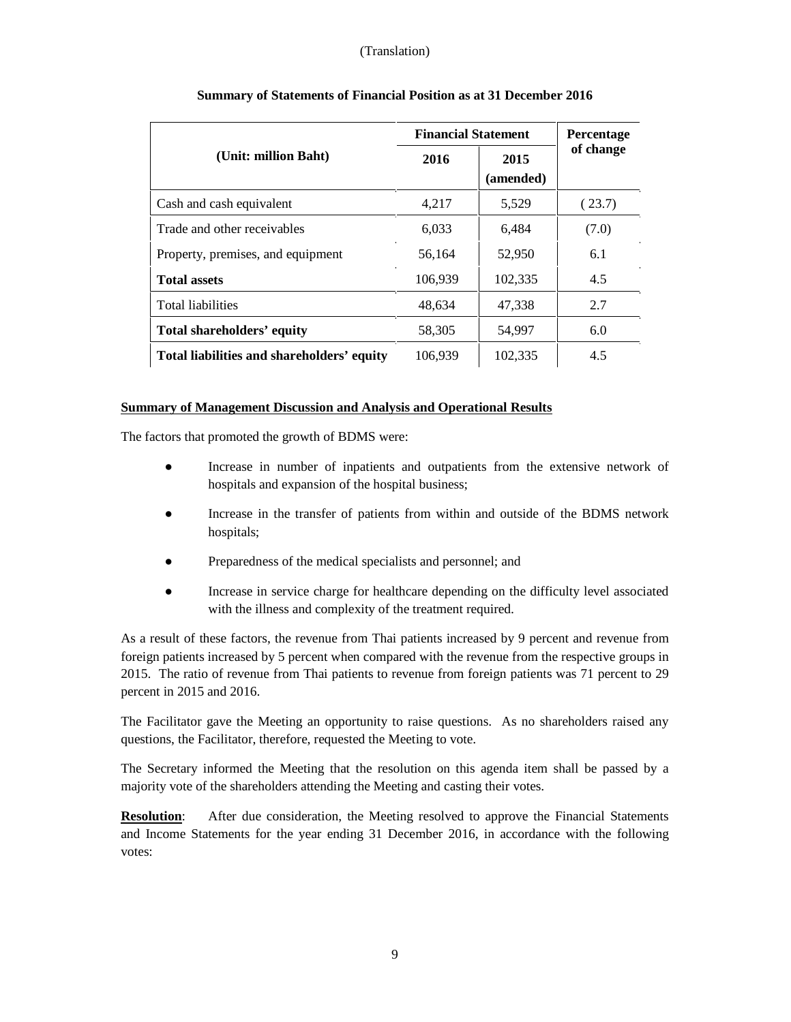|                                            | <b>Financial Statement</b> | <b>Percentage</b> |           |
|--------------------------------------------|----------------------------|-------------------|-----------|
| (Unit: million Baht)                       | 2016                       | 2015<br>(amended) | of change |
| Cash and cash equivalent                   | 4.217                      | 5,529             | (23.7)    |
| Trade and other receivables                | 6,033                      | 6,484             | (7.0)     |
| Property, premises, and equipment          | 56.164                     | 52,950            | 6.1       |
| <b>Total assets</b>                        | 106,939                    | 102,335           | 4.5       |
| <b>Total liabilities</b>                   | 48,634                     | 47.338            | 2.7       |
| Total shareholders' equity                 | 58,305                     | 54,997            | 6.0       |
| Total liabilities and shareholders' equity | 106,939                    | 102,335           | 4.5       |

# **Summary of Statements of Financial Position as at 31 December 2016**

## **Summary of Management Discussion and Analysis and Operational Results**

The factors that promoted the growth of BDMS were:

- Increase in number of inpatients and outpatients from the extensive network of hospitals and expansion of the hospital business;
- Increase in the transfer of patients from within and outside of the BDMS network hospitals;
- Preparedness of the medical specialists and personnel; and
- Increase in service charge for healthcare depending on the difficulty level associated with the illness and complexity of the treatment required.

As a result of these factors, the revenue from Thai patients increased by 9 percent and revenue from foreign patients increased by 5 percent when compared with the revenue from the respective groups in 2015. The ratio of revenue from Thai patients to revenue from foreign patients was 71 percent to 29 percent in 2015 and 2016.

The Facilitator gave the Meeting an opportunity to raise questions. As no shareholders raised any questions, the Facilitator, therefore, requested the Meeting to vote.

The Secretary informed the Meeting that the resolution on this agenda item shall be passed by a majority vote of the shareholders attending the Meeting and casting their votes.

**Resolution:** After due consideration, the Meeting resolved to approve the Financial Statements and Income Statements for the year ending 31 December 2016, in accordance with the following votes: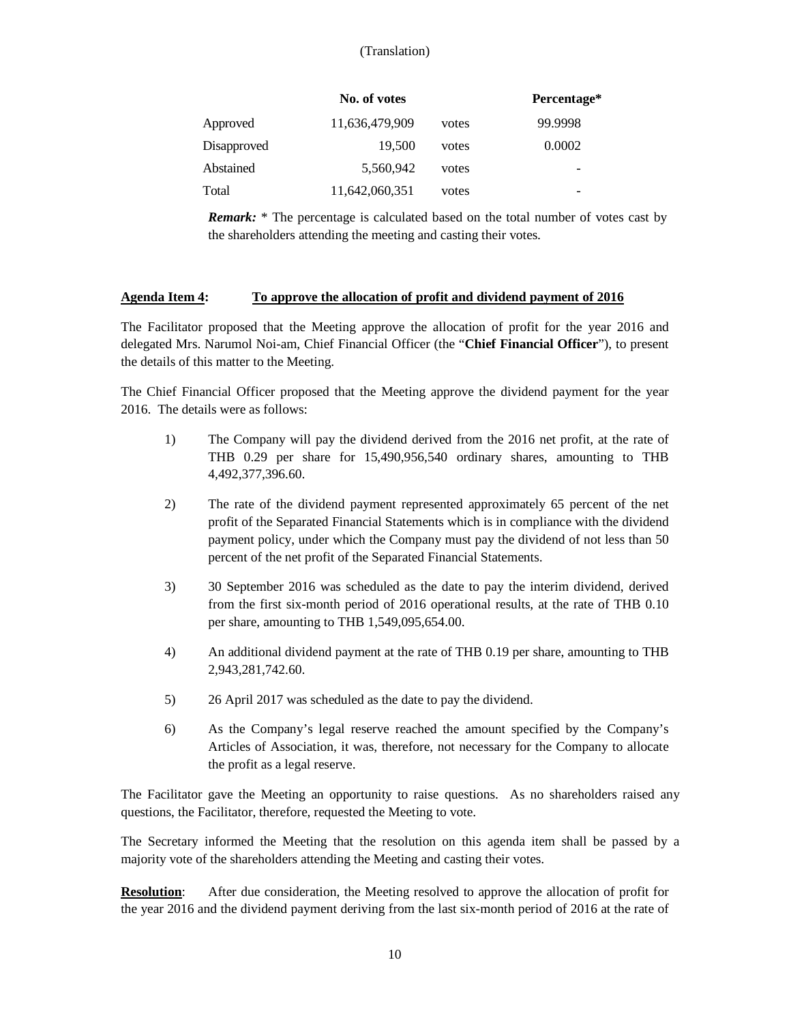|             | No. of votes   |       | Percentage* |
|-------------|----------------|-------|-------------|
| Approved    | 11,636,479,909 | votes | 99.9998     |
| Disapproved | 19.500         | votes | 0.0002      |
| Abstained   | 5,560,942      | votes | -           |
| Total       | 11,642,060,351 | votes |             |

*Remark:* \* The percentage is calculated based on the total number of votes cast by the shareholders attending the meeting and casting their votes.

## **Agenda Item 4: To approve the allocation of profit and dividend payment of 2016**

The Facilitator proposed that the Meeting approve the allocation of profit for the year 2016 and delegated Mrs. Narumol Noi-am, Chief Financial Officer (the "**Chief Financial Officer**"), to present the details of this matter to the Meeting.

The Chief Financial Officer proposed that the Meeting approve the dividend payment for the year 2016. The details were as follows:

- 1) The Company will pay the dividend derived from the 2016 net profit, at the rate of THB 0.29 per share for 15,490,956,540 ordinary shares, amounting to THB 4,492,377,396.60.
- 2) The rate of the dividend payment represented approximately 65 percent of the net profit of the Separated Financial Statements which is in compliance with the dividend payment policy, under which the Company must pay the dividend of not less than 50 percent of the net profit of the Separated Financial Statements.
- 3) 30 September 2016 was scheduled as the date to pay the interim dividend, derived from the first six-month period of 2016 operational results, at the rate of THB 0.10 per share, amounting to THB 1,549,095,654.00.
- 4) An additional dividend payment at the rate of THB 0.19 per share, amounting to THB 2,943,281,742.60.
- 5) 26 April 2017 was scheduled as the date to pay the dividend.
- 6) As the Company's legal reserve reached the amount specified by the Company's Articles of Association, it was, therefore, not necessary for the Company to allocate the profit as a legal reserve.

The Facilitator gave the Meeting an opportunity to raise questions. As no shareholders raised any questions, the Facilitator, therefore, requested the Meeting to vote.

The Secretary informed the Meeting that the resolution on this agenda item shall be passed by a majority vote of the shareholders attending the Meeting and casting their votes.

**Resolution**: After due consideration, the Meeting resolved to approve the allocation of profit for the year 2016 and the dividend payment deriving from the last six-month period of 2016 at the rate of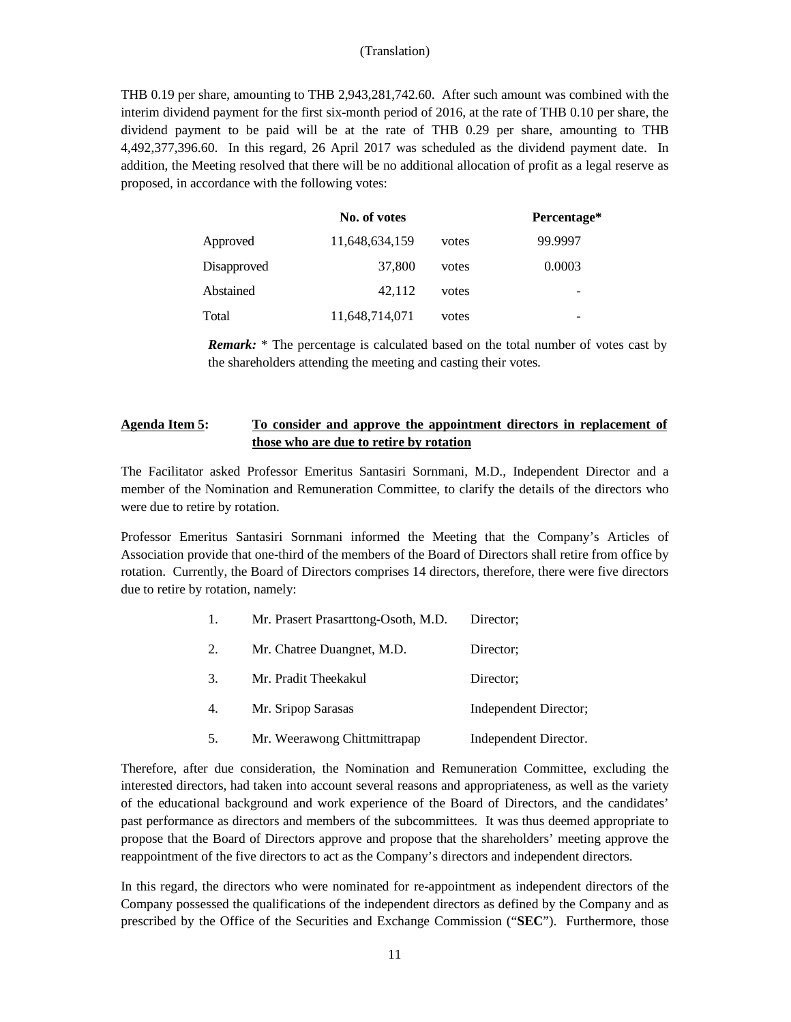THB 0.19 per share, amounting to THB 2,943,281,742.60. After such amount was combined with the interim dividend payment for the first six-month period of 2016, at the rate of THB 0.10 per share, the dividend payment to be paid will be at the rate of THB 0.29 per share, amounting to THB 4,492,377,396.60. In this regard, 26 April 2017 was scheduled as the dividend payment date. In addition, the Meeting resolved that there will be no additional allocation of profit as a legal reserve as proposed, in accordance with the following votes:

|             | No. of votes   |       | Percentage* |
|-------------|----------------|-------|-------------|
| Approved    | 11,648,634,159 | votes | 99.9997     |
| Disapproved | 37,800         | votes | 0.0003      |
| Abstained   | 42.112         | votes |             |
| Total       | 11,648,714,071 | votes | -           |

*Remark:* \* The percentage is calculated based on the total number of votes cast by the shareholders attending the meeting and casting their votes.

# **Agenda Item 5: To consider and approve the appointment directors in replacement of those who are due to retire by rotation**

The Facilitator asked Professor Emeritus Santasiri Sornmani, M.D., Independent Director and a member of the Nomination and Remuneration Committee, to clarify the details of the directors who were due to retire by rotation.

Professor Emeritus Santasiri Sornmani informed the Meeting that the Company's Articles of Association provide that one-third of the members of the Board of Directors shall retire from office by rotation. Currently, the Board of Directors comprises 14 directors, therefore, there were five directors due to retire by rotation, namely:

| 1. | Mr. Prasert Prasarttong-Osoth, M.D. | Director:             |
|----|-------------------------------------|-----------------------|
| 2. | Mr. Chatree Duangnet, M.D.          | Director:             |
| 3. | Mr. Pradit Theekakul                | Director:             |
| 4. | Mr. Sripop Sarasas                  | Independent Director; |
| 5. | Mr. Weerawong Chittmittrapap        | Independent Director. |

Therefore, after due consideration, the Nomination and Remuneration Committee, excluding the interested directors, had taken into account several reasons and appropriateness, as well as the variety of the educational background and work experience of the Board of Directors, and the candidates' past performance as directors and members of the subcommittees. It was thus deemed appropriate to propose that the Board of Directors approve and propose that the shareholders' meeting approve the reappointment of the five directors to act as the Company's directors and independent directors.

In this regard, the directors who were nominated for re-appointment as independent directors of the Company possessed the qualifications of the independent directors as defined by the Company and as prescribed by the Office of the Securities and Exchange Commission ("**SEC**"). Furthermore, those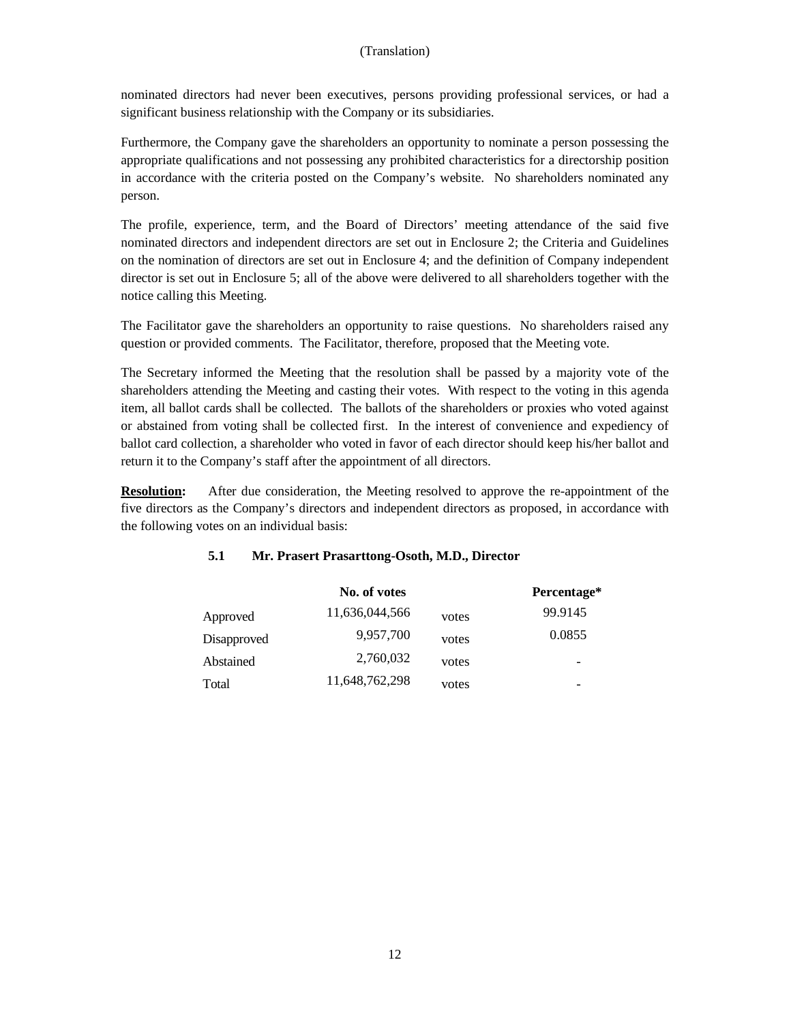nominated directors had never been executives, persons providing professional services, or had a significant business relationship with the Company or its subsidiaries.

Furthermore, the Company gave the shareholders an opportunity to nominate a person possessing the appropriate qualifications and not possessing any prohibited characteristics for a directorship position in accordance with the criteria posted on the Company's website. No shareholders nominated any person.

The profile, experience, term, and the Board of Directors' meeting attendance of the said five nominated directors and independent directors are set out in Enclosure 2; the Criteria and Guidelines on the nomination of directors are set out in Enclosure 4; and the definition of Company independent director is set out in Enclosure 5; all of the above were delivered to all shareholders together with the notice calling this Meeting.

The Facilitator gave the shareholders an opportunity to raise questions. No shareholders raised any question or provided comments. The Facilitator, therefore, proposed that the Meeting vote.

The Secretary informed the Meeting that the resolution shall be passed by a majority vote of the shareholders attending the Meeting and casting their votes. With respect to the voting in this agenda item, all ballot cards shall be collected. The ballots of the shareholders or proxies who voted against or abstained from voting shall be collected first. In the interest of convenience and expediency of ballot card collection, a shareholder who voted in favor of each director should keep his/her ballot and return it to the Company's staff after the appointment of all directors.

**Resolution:** After due consideration, the Meeting resolved to approve the re-appointment of the five directors as the Company's directors and independent directors as proposed, in accordance with the following votes on an individual basis:

|             | No. of votes   |       | Percentage* |
|-------------|----------------|-------|-------------|
| Approved    | 11,636,044,566 | votes | 99.9145     |
| Disapproved | 9,957,700      | votes | 0.0855      |
| Abstained   | 2,760,032      | votes | -           |
| Total       | 11,648,762,298 | votes | -           |

## **5.1 Mr. Prasert Prasarttong-Osoth, M.D., Director**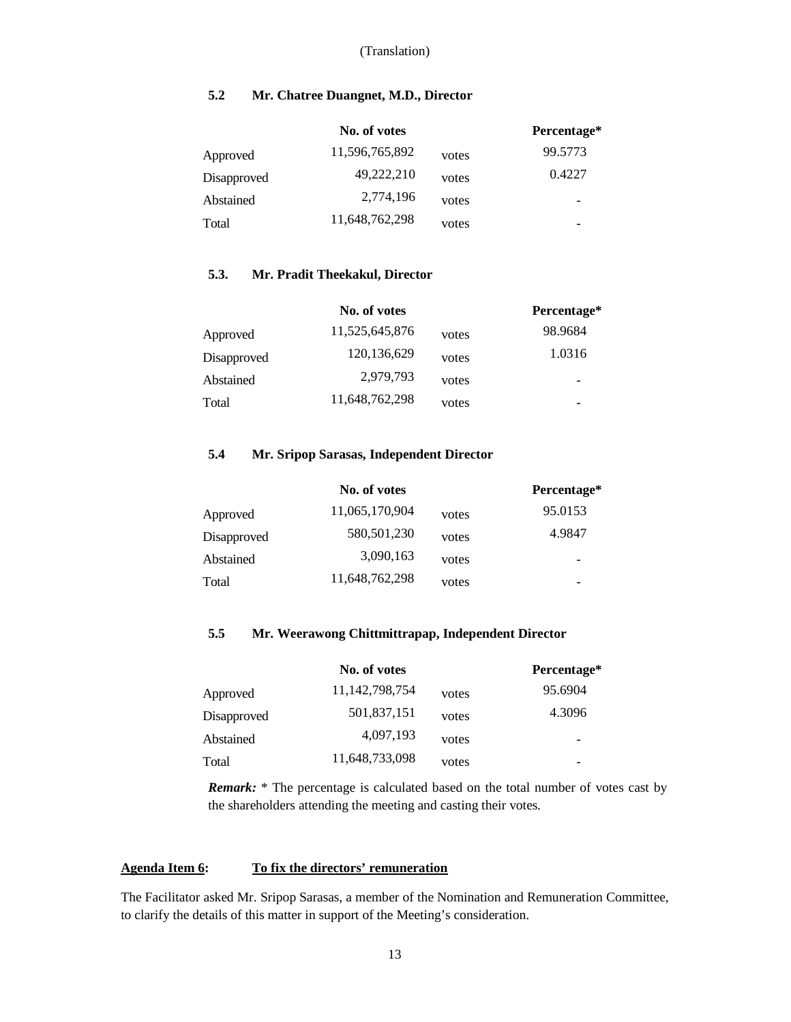# **5.2 Mr. Chatree Duangnet, M.D., Director**

|             | No. of votes   |       | Percentage* |
|-------------|----------------|-------|-------------|
| Approved    | 11,596,765,892 | votes | 99.5773     |
| Disapproved | 49,222,210     | votes | 0.4227      |
| Abstained   | 2,774,196      | votes |             |
| Total       | 11,648,762,298 | votes |             |

## **5.3. Mr. Pradit Theekakul, Director**

|             | No. of votes   |       | Percentage* |
|-------------|----------------|-------|-------------|
| Approved    | 11,525,645,876 | votes | 98.9684     |
| Disapproved | 120, 136, 629  | votes | 1.0316      |
| Abstained   | 2,979,793      | votes | -           |
| Total       | 11,648,762,298 | votes |             |

# **5.4 Mr. Sripop Sarasas, Independent Director**

|             | No. of votes   |       | Percentage* |
|-------------|----------------|-------|-------------|
| Approved    | 11,065,170,904 | votes | 95.0153     |
| Disapproved | 580,501,230    | votes | 4.9847      |
| Abstained   | 3,090,163      | votes |             |
| Total       | 11,648,762,298 | votes |             |

# **5.5 Mr. Weerawong Chittmittrapap, Independent Director**

|             | No. of votes      |       | Percentage* |
|-------------|-------------------|-------|-------------|
| Approved    | 11, 142, 798, 754 | votes | 95.6904     |
| Disapproved | 501,837,151       | votes | 4.3096      |
| Abstained   | 4,097,193         | votes |             |
| Total       | 11,648,733,098    | votes |             |

*Remark:* \* The percentage is calculated based on the total number of votes cast by the shareholders attending the meeting and casting their votes.

## **Agenda Item 6: To fix the directors' remuneration**

The Facilitator asked Mr. Sripop Sarasas, a member of the Nomination and Remuneration Committee, to clarify the details of this matter in support of the Meeting's consideration.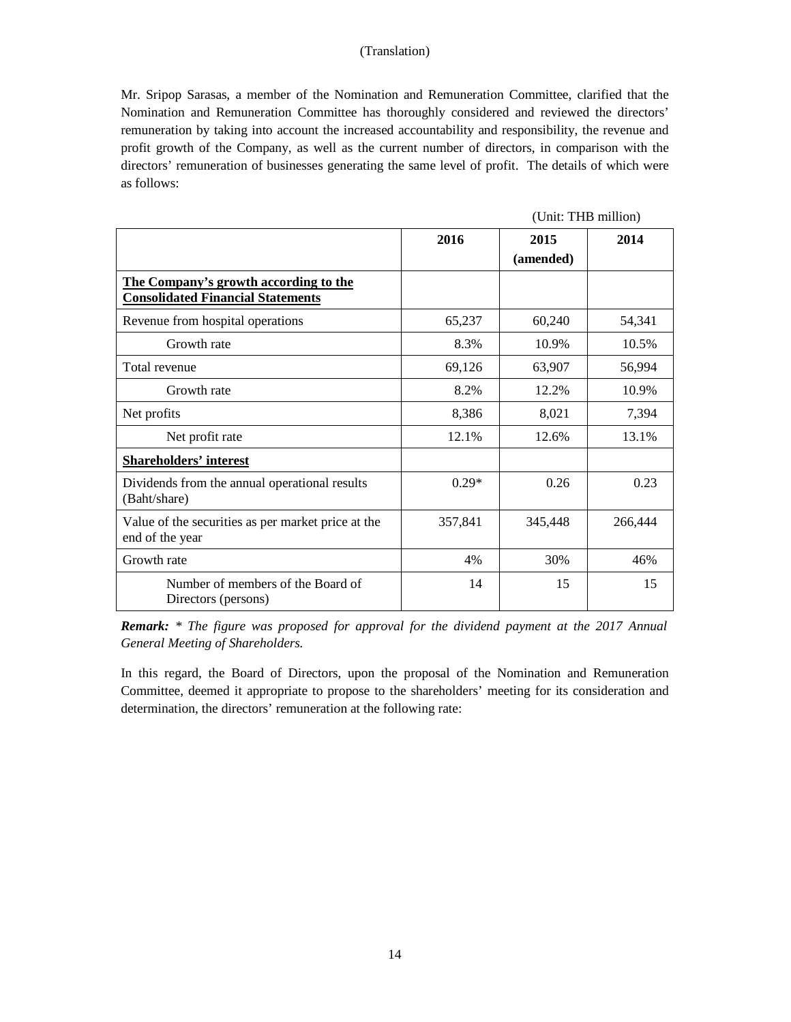Mr. Sripop Sarasas, a member of the Nomination and Remuneration Committee, clarified that the Nomination and Remuneration Committee has thoroughly considered and reviewed the directors' remuneration by taking into account the increased accountability and responsibility, the revenue and profit growth of the Company, as well as the current number of directors, in comparison with the directors' remuneration of businesses generating the same level of profit. The details of which were as follows:

(Unit: THB million)

|                                                                                   | 2016    | 2015<br>(amended) | 2014    |
|-----------------------------------------------------------------------------------|---------|-------------------|---------|
| The Company's growth according to the<br><b>Consolidated Financial Statements</b> |         |                   |         |
| Revenue from hospital operations                                                  | 65,237  | 60,240            | 54,341  |
| Growth rate                                                                       | 8.3%    | 10.9%             | 10.5%   |
| Total revenue                                                                     | 69,126  | 63,907            | 56,994  |
| Growth rate                                                                       | 8.2%    | 12.2%             | 10.9%   |
| Net profits                                                                       | 8,386   | 8,021             | 7,394   |
| Net profit rate                                                                   | 12.1%   | 12.6%             | 13.1%   |
| Shareholders' interest                                                            |         |                   |         |
| Dividends from the annual operational results<br>(Baht/share)                     | $0.29*$ | 0.26              | 0.23    |
| Value of the securities as per market price at the<br>end of the year             | 357,841 | 345,448           | 266,444 |
| Growth rate                                                                       | 4%      | 30%               | 46%     |
| Number of members of the Board of<br>Directors (persons)                          | 14      | 15                | 15      |

*Remark: \* The figure was proposed for approval for the dividend payment at the 2017 Annual General Meeting of Shareholders.* 

In this regard, the Board of Directors, upon the proposal of the Nomination and Remuneration Committee, deemed it appropriate to propose to the shareholders' meeting for its consideration and determination, the directors' remuneration at the following rate: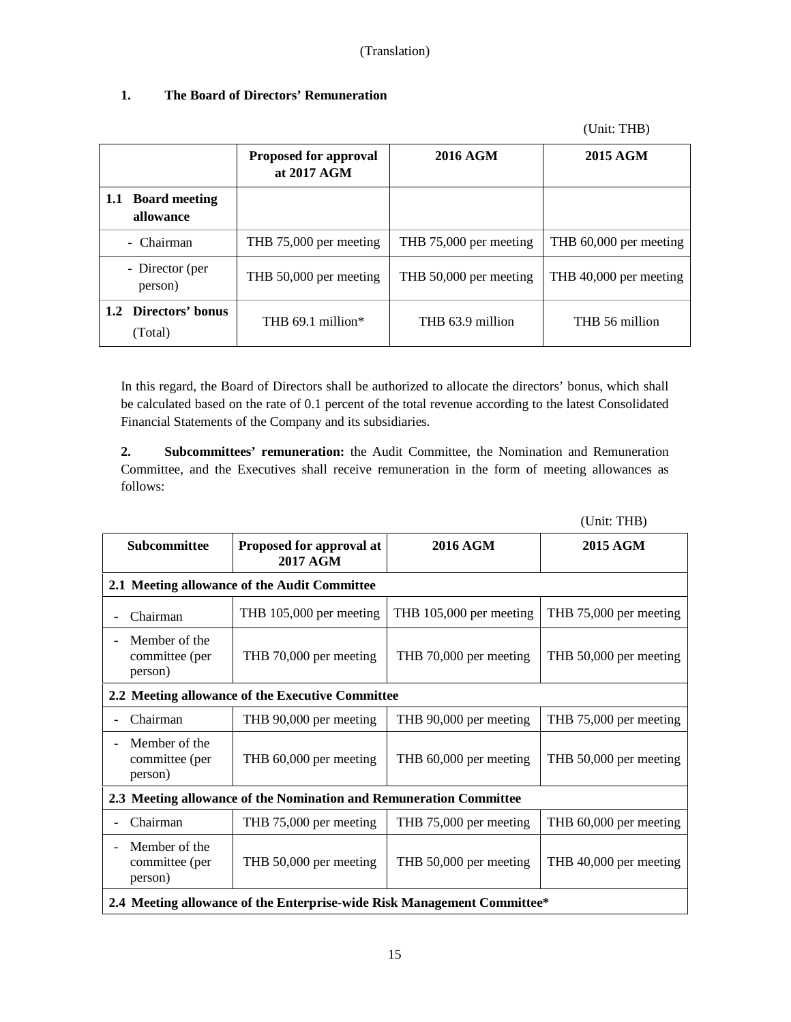|                                 | <b>Proposed for approval</b><br>at 2017 AGM | 2016 AGM               | 2015 AGM               |
|---------------------------------|---------------------------------------------|------------------------|------------------------|
| 1.1 Board meeting<br>allowance  |                                             |                        |                        |
| - Chairman                      | THB 75,000 per meeting                      | THB 75,000 per meeting | THB 60,000 per meeting |
| - Director (per<br>person)      | THB 50,000 per meeting                      | THB 50,000 per meeting | THB 40,000 per meeting |
| 1.2 Directors' bonus<br>(Total) | THB $69.1$ million*                         | THB 63.9 million       | THB 56 million         |

# **1. The Board of Directors' Remuneration**

In this regard, the Board of Directors shall be authorized to allocate the directors' bonus, which shall be calculated based on the rate of 0.1 percent of the total revenue according to the latest Consolidated Financial Statements of the Company and its subsidiaries.

**2. Subcommittees' remuneration:** the Audit Committee, the Nomination and Remuneration Committee, and the Executives shall receive remuneration in the form of meeting allowances as follows:

| $\overline{C}$                                                          |                                                                    |                         |                        |
|-------------------------------------------------------------------------|--------------------------------------------------------------------|-------------------------|------------------------|
| Subcommittee                                                            | Proposed for approval at<br><b>2017 AGM</b>                        | <b>2016 AGM</b>         | 2015 AGM               |
|                                                                         | 2.1 Meeting allowance of the Audit Committee                       |                         |                        |
| Chairman                                                                | THB 105,000 per meeting                                            | THB 105,000 per meeting | THB 75,000 per meeting |
| Member of the<br>$\overline{\phantom{0}}$<br>committee (per<br>person)  | THB 70,000 per meeting                                             | THB 70,000 per meeting  | THB 50,000 per meeting |
|                                                                         | 2.2 Meeting allowance of the Executive Committee                   |                         |                        |
| Chairman                                                                | THB 90,000 per meeting                                             | THB 90,000 per meeting  | THB 75,000 per meeting |
| Member of the<br>$\blacksquare$<br>committee (per<br>person)            | THB 60,000 per meeting                                             | THB 60,000 per meeting  | THB 50,000 per meeting |
|                                                                         | 2.3 Meeting allowance of the Nomination and Remuneration Committee |                         |                        |
| Chairman                                                                | THB 75,000 per meeting                                             | THB 75,000 per meeting  | THB 60,000 per meeting |
| Member of the<br>$\blacksquare$<br>committee (per<br>person)            | THB 50,000 per meeting                                             | THB 50,000 per meeting  | THB 40,000 per meeting |
| 2.4 Meeting allowance of the Enterprise-wide Risk Management Committee* |                                                                    |                         |                        |

(Unit: THB)

(Unit: THB)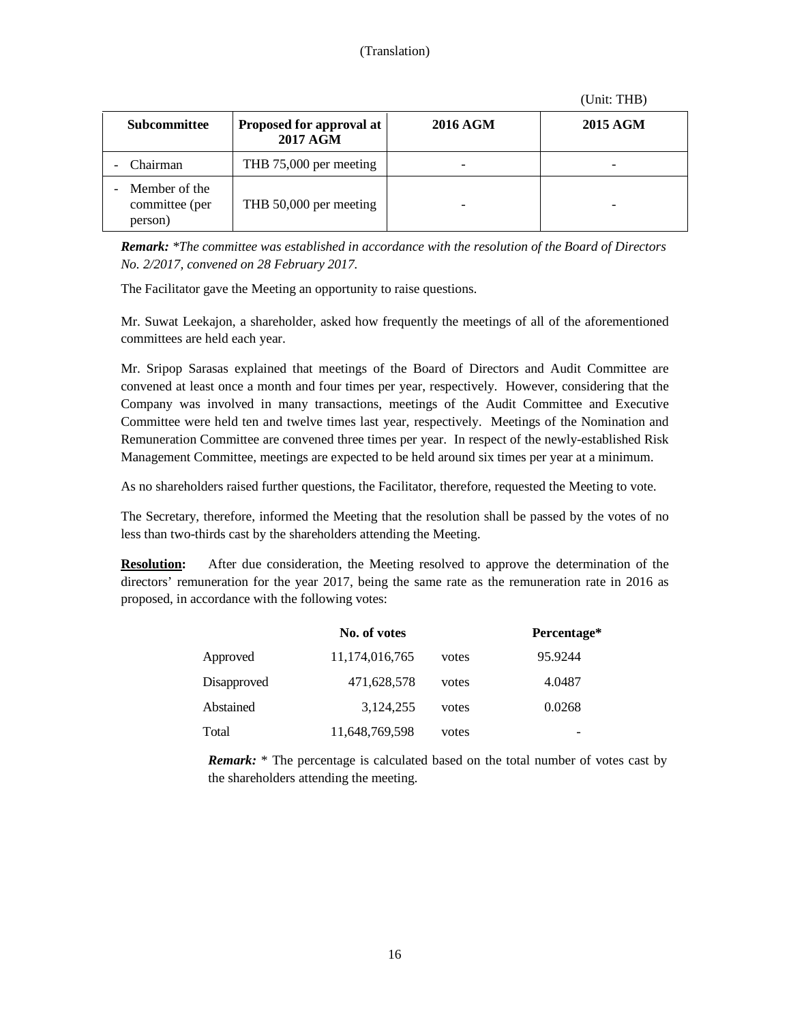#### (Unit: THB)

| Subcommittee                               | Proposed for approval at<br><b>2017 AGM</b> | 2016 AGM | 2015 AGM |
|--------------------------------------------|---------------------------------------------|----------|----------|
| Chairman                                   | THB 75,000 per meeting                      |          |          |
| Member of the<br>committee (per<br>person) | THB 50,000 per meeting                      |          |          |

*Remark: \*The committee was established in accordance with the resolution of the Board of Directors No. 2/2017, convened on 28 February 2017.* 

The Facilitator gave the Meeting an opportunity to raise questions.

Mr. Suwat Leekajon, a shareholder, asked how frequently the meetings of all of the aforementioned committees are held each year.

Mr. Sripop Sarasas explained that meetings of the Board of Directors and Audit Committee are convened at least once a month and four times per year, respectively. However, considering that the Company was involved in many transactions, meetings of the Audit Committee and Executive Committee were held ten and twelve times last year, respectively. Meetings of the Nomination and Remuneration Committee are convened three times per year. In respect of the newly-established Risk Management Committee, meetings are expected to be held around six times per year at a minimum.

As no shareholders raised further questions, the Facilitator, therefore, requested the Meeting to vote.

The Secretary, therefore, informed the Meeting that the resolution shall be passed by the votes of no less than two-thirds cast by the shareholders attending the Meeting.

**Resolution:** After due consideration, the Meeting resolved to approve the determination of the directors' remuneration for the year 2017, being the same rate as the remuneration rate in 2016 as proposed, in accordance with the following votes:

|             | No. of votes   |       | Percentage*              |
|-------------|----------------|-------|--------------------------|
| Approved    | 11,174,016,765 | votes | 95.9244                  |
| Disapproved | 471,628,578    | votes | 4.0487                   |
| Abstained   | 3,124,255      | votes | 0.0268                   |
| Total       | 11,648,769,598 | votes | $\overline{\phantom{a}}$ |

*Remark:* \* The percentage is calculated based on the total number of votes cast by the shareholders attending the meeting.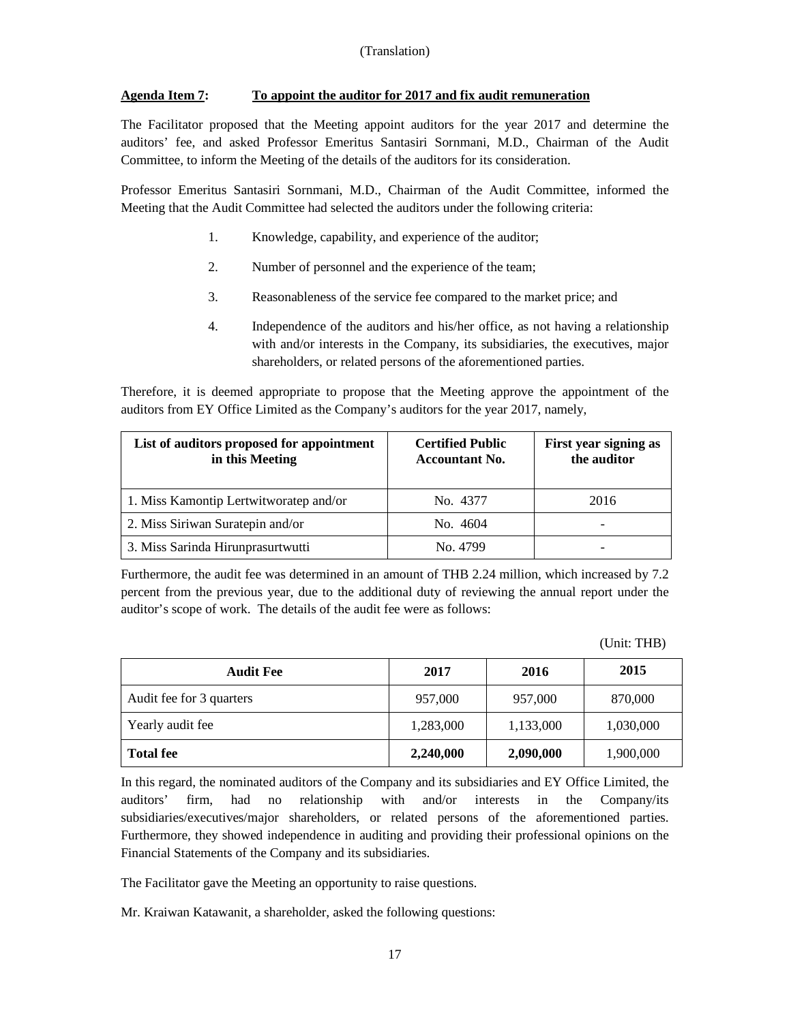# **Agenda Item 7: To appoint the auditor for 2017 and fix audit remuneration**

The Facilitator proposed that the Meeting appoint auditors for the year 2017 and determine the auditors' fee, and asked Professor Emeritus Santasiri Sornmani, M.D., Chairman of the Audit Committee, to inform the Meeting of the details of the auditors for its consideration.

Professor Emeritus Santasiri Sornmani, M.D., Chairman of the Audit Committee, informed the Meeting that the Audit Committee had selected the auditors under the following criteria:

- 1. Knowledge, capability, and experience of the auditor;
- 2. Number of personnel and the experience of the team;
- 3. Reasonableness of the service fee compared to the market price; and
- 4. Independence of the auditors and his/her office, as not having a relationship with and/or interests in the Company, its subsidiaries, the executives, major shareholders, or related persons of the aforementioned parties.

Therefore, it is deemed appropriate to propose that the Meeting approve the appointment of the auditors from EY Office Limited as the Company's auditors for the year 2017, namely,

| List of auditors proposed for appointment<br>in this Meeting | <b>Certified Public</b><br><b>Accountant No.</b> | First year signing as<br>the auditor |
|--------------------------------------------------------------|--------------------------------------------------|--------------------------------------|
| 1. Miss Kamontip Lertwitworatep and/or                       | No. 4377                                         | 2016                                 |
| 2. Miss Siriwan Suratepin and/or                             | No. 4604                                         |                                      |
| 3. Miss Sarinda Hirunprasurtwutti                            | No. 4799                                         |                                      |

Furthermore, the audit fee was determined in an amount of THB 2.24 million, which increased by 7.2 percent from the previous year, due to the additional duty of reviewing the annual report under the auditor's scope of work. The details of the audit fee were as follows:

(Unit: THB)

| <b>Audit Fee</b>         | 2017      | 2016      | 2015      |
|--------------------------|-----------|-----------|-----------|
| Audit fee for 3 quarters | 957,000   | 957,000   | 870,000   |
| Yearly audit fee         | 1,283,000 | 1,133,000 | 1,030,000 |
| <b>Total fee</b>         | 2,240,000 | 2,090,000 | 1,900,000 |

In this regard, the nominated auditors of the Company and its subsidiaries and EY Office Limited, the auditors' firm, had no relationship with and/or interests in the Company/its subsidiaries/executives/major shareholders, or related persons of the aforementioned parties. Furthermore, they showed independence in auditing and providing their professional opinions on the Financial Statements of the Company and its subsidiaries.

The Facilitator gave the Meeting an opportunity to raise questions.

Mr. Kraiwan Katawanit, a shareholder, asked the following questions: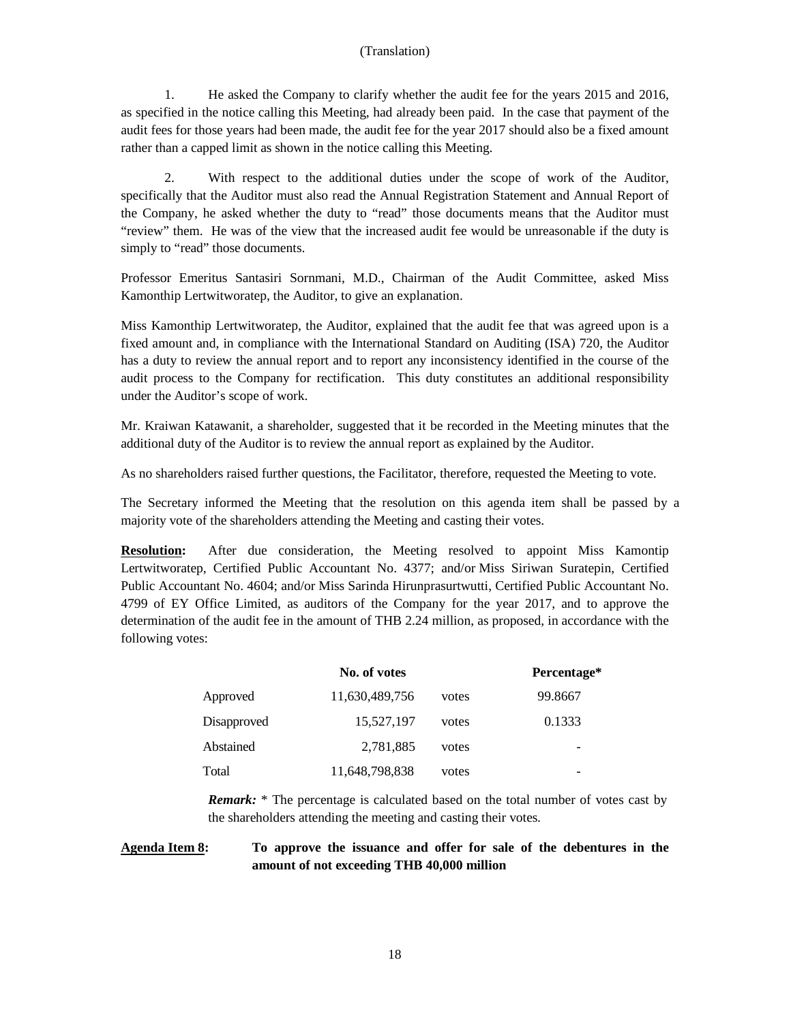1. He asked the Company to clarify whether the audit fee for the years 2015 and 2016, as specified in the notice calling this Meeting, had already been paid. In the case that payment of the audit fees for those years had been made, the audit fee for the year 2017 should also be a fixed amount rather than a capped limit as shown in the notice calling this Meeting.

2. With respect to the additional duties under the scope of work of the Auditor, specifically that the Auditor must also read the Annual Registration Statement and Annual Report of the Company, he asked whether the duty to "read" those documents means that the Auditor must "review" them. He was of the view that the increased audit fee would be unreasonable if the duty is simply to "read" those documents.

Professor Emeritus Santasiri Sornmani, M.D., Chairman of the Audit Committee, asked Miss Kamonthip Lertwitworatep, the Auditor, to give an explanation.

Miss Kamonthip Lertwitworatep, the Auditor, explained that the audit fee that was agreed upon is a fixed amount and, in compliance with the International Standard on Auditing (ISA) 720, the Auditor has a duty to review the annual report and to report any inconsistency identified in the course of the audit process to the Company for rectification. This duty constitutes an additional responsibility under the Auditor's scope of work.

Mr. Kraiwan Katawanit, a shareholder, suggested that it be recorded in the Meeting minutes that the additional duty of the Auditor is to review the annual report as explained by the Auditor.

As no shareholders raised further questions, the Facilitator, therefore, requested the Meeting to vote.

The Secretary informed the Meeting that the resolution on this agenda item shall be passed by a majority vote of the shareholders attending the Meeting and casting their votes.

**Resolution:** After due consideration, the Meeting resolved to appoint Miss Kamontip Lertwitworatep, Certified Public Accountant No. 4377; and/or Miss Siriwan Suratepin, Certified Public Accountant No. 4604; and/or Miss Sarinda Hirunprasurtwutti, Certified Public Accountant No. 4799 of EY Office Limited, as auditors of the Company for the year 2017, and to approve the determination of the audit fee in the amount of THB 2.24 million, as proposed, in accordance with the following votes:

|             | No. of votes   |       | Percentage* |
|-------------|----------------|-------|-------------|
| Approved    | 11,630,489,756 | votes | 99.8667     |
| Disapproved | 15,527,197     | votes | 0.1333      |
| Abstained   | 2,781,885      | votes |             |
| Total       | 11,648,798,838 | votes |             |

*Remark:* \* The percentage is calculated based on the total number of votes cast by the shareholders attending the meeting and casting their votes.

# **Agenda Item 8: To approve the issuance and offer for sale of the debentures in the amount of not exceeding THB 40,000 million**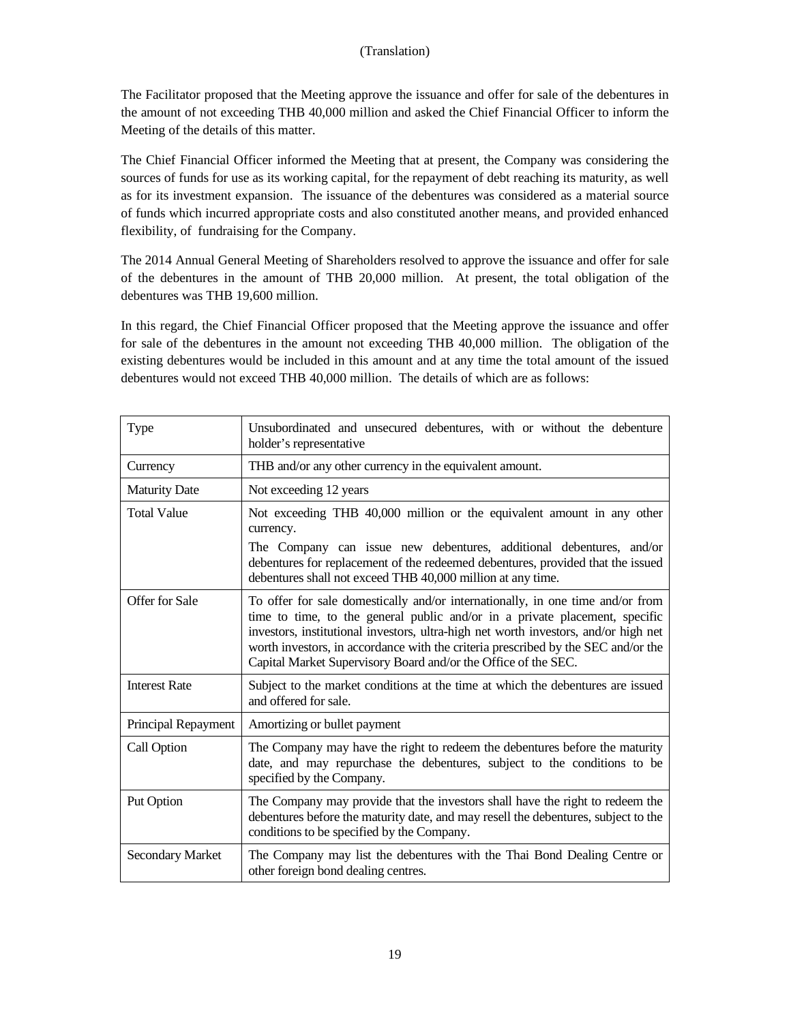The Facilitator proposed that the Meeting approve the issuance and offer for sale of the debentures in the amount of not exceeding THB 40,000 million and asked the Chief Financial Officer to inform the Meeting of the details of this matter.

The Chief Financial Officer informed the Meeting that at present, the Company was considering the sources of funds for use as its working capital, for the repayment of debt reaching its maturity, as well as for its investment expansion. The issuance of the debentures was considered as a material source of funds which incurred appropriate costs and also constituted another means, and provided enhanced flexibility, of fundraising for the Company.

The 2014 Annual General Meeting of Shareholders resolved to approve the issuance and offer for sale of the debentures in the amount of THB 20,000 million. At present, the total obligation of the debentures was THB 19,600 million.

In this regard, the Chief Financial Officer proposed that the Meeting approve the issuance and offer for sale of the debentures in the amount not exceeding THB 40,000 million. The obligation of the existing debentures would be included in this amount and at any time the total amount of the issued debentures would not exceed THB 40,000 million. The details of which are as follows:

| Type                    | Unsubordinated and unsecured debentures, with or without the debenture<br>holder's representative                                                                                                                                                                                                                                                                                                           |
|-------------------------|-------------------------------------------------------------------------------------------------------------------------------------------------------------------------------------------------------------------------------------------------------------------------------------------------------------------------------------------------------------------------------------------------------------|
| Currency                | THB and/or any other currency in the equivalent amount.                                                                                                                                                                                                                                                                                                                                                     |
| <b>Maturity Date</b>    | Not exceeding 12 years                                                                                                                                                                                                                                                                                                                                                                                      |
| <b>Total Value</b>      | Not exceeding THB 40,000 million or the equivalent amount in any other<br>currency.                                                                                                                                                                                                                                                                                                                         |
|                         | The Company can issue new debentures, additional debentures, and/or<br>debentures for replacement of the redeemed debentures, provided that the issued<br>debentures shall not exceed THB 40,000 million at any time.                                                                                                                                                                                       |
| Offer for Sale          | To offer for sale domestically and/or internationally, in one time and/or from<br>time to time, to the general public and/or in a private placement, specific<br>investors, institutional investors, ultra-high net worth investors, and/or high net<br>worth investors, in accordance with the criteria prescribed by the SEC and/or the<br>Capital Market Supervisory Board and/or the Office of the SEC. |
| <b>Interest Rate</b>    | Subject to the market conditions at the time at which the debentures are issued<br>and offered for sale.                                                                                                                                                                                                                                                                                                    |
| Principal Repayment     | Amortizing or bullet payment                                                                                                                                                                                                                                                                                                                                                                                |
| Call Option             | The Company may have the right to redeem the debentures before the maturity<br>date, and may repurchase the debentures, subject to the conditions to be<br>specified by the Company.                                                                                                                                                                                                                        |
| Put Option              | The Company may provide that the investors shall have the right to redeem the<br>debentures before the maturity date, and may resell the debentures, subject to the<br>conditions to be specified by the Company.                                                                                                                                                                                           |
| <b>Secondary Market</b> | The Company may list the debentures with the Thai Bond Dealing Centre or<br>other foreign bond dealing centres.                                                                                                                                                                                                                                                                                             |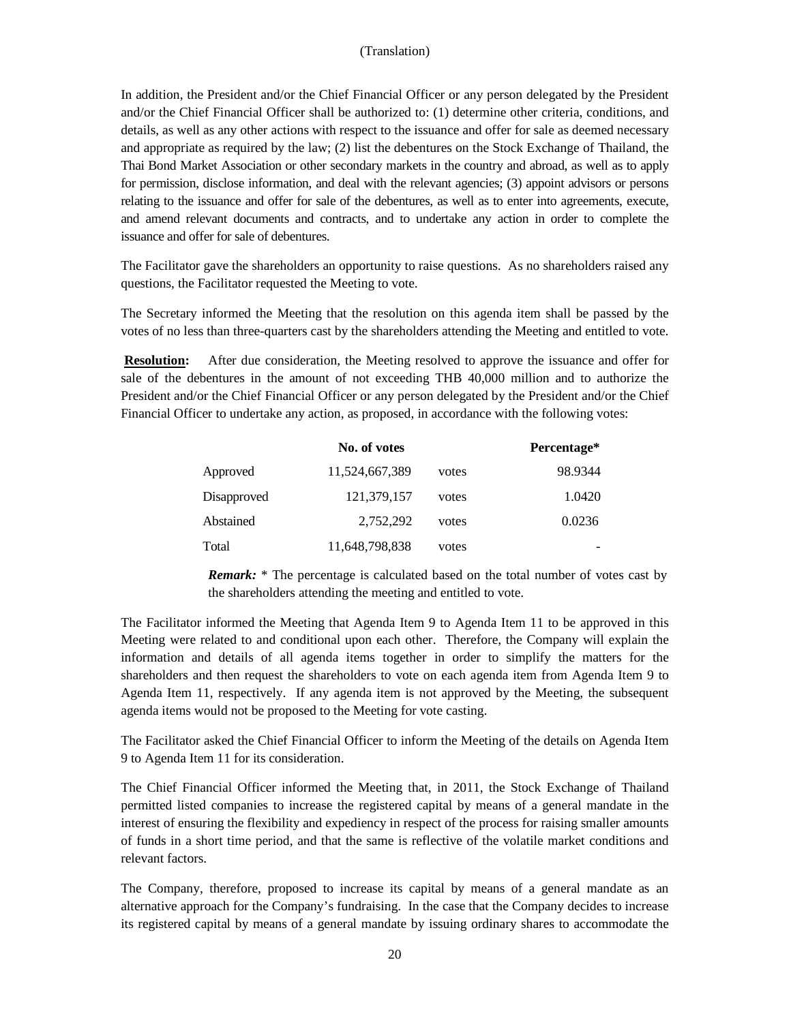In addition, the President and/or the Chief Financial Officer or any person delegated by the President and/or the Chief Financial Officer shall be authorized to: (1) determine other criteria, conditions, and details, as well as any other actions with respect to the issuance and offer for sale as deemed necessary and appropriate as required by the law; (2) list the debentures on the Stock Exchange of Thailand, the Thai Bond Market Association or other secondary markets in the country and abroad, as well as to apply for permission, disclose information, and deal with the relevant agencies; (3) appoint advisors or persons relating to the issuance and offer for sale of the debentures, as well as to enter into agreements, execute, and amend relevant documents and contracts, and to undertake any action in order to complete the issuance and offer for sale of debentures.

The Facilitator gave the shareholders an opportunity to raise questions. As no shareholders raised any questions, the Facilitator requested the Meeting to vote.

The Secretary informed the Meeting that the resolution on this agenda item shall be passed by the votes of no less than three-quarters cast by the shareholders attending the Meeting and entitled to vote.

**Resolution:** After due consideration, the Meeting resolved to approve the issuance and offer for sale of the debentures in the amount of not exceeding THB 40,000 million and to authorize the President and/or the Chief Financial Officer or any person delegated by the President and/or the Chief Financial Officer to undertake any action, as proposed, in accordance with the following votes:

|             | No. of votes   |       | Percentage* |
|-------------|----------------|-------|-------------|
| Approved    | 11,524,667,389 | votes | 98.9344     |
| Disapproved | 121,379,157    | votes | 1.0420      |
| Abstained   | 2.752.292      | votes | 0.0236      |
| Total       | 11,648,798,838 | votes |             |

*Remark:* \* The percentage is calculated based on the total number of votes cast by the shareholders attending the meeting and entitled to vote.

The Facilitator informed the Meeting that Agenda Item 9 to Agenda Item 11 to be approved in this Meeting were related to and conditional upon each other. Therefore, the Company will explain the information and details of all agenda items together in order to simplify the matters for the shareholders and then request the shareholders to vote on each agenda item from Agenda Item 9 to Agenda Item 11, respectively. If any agenda item is not approved by the Meeting, the subsequent agenda items would not be proposed to the Meeting for vote casting.

The Facilitator asked the Chief Financial Officer to inform the Meeting of the details on Agenda Item 9 to Agenda Item 11 for its consideration.

The Chief Financial Officer informed the Meeting that, in 2011, the Stock Exchange of Thailand permitted listed companies to increase the registered capital by means of a general mandate in the interest of ensuring the flexibility and expediency in respect of the process for raising smaller amounts of funds in a short time period, and that the same is reflective of the volatile market conditions and relevant factors.

The Company, therefore, proposed to increase its capital by means of a general mandate as an alternative approach for the Company's fundraising. In the case that the Company decides to increase its registered capital by means of a general mandate by issuing ordinary shares to accommodate the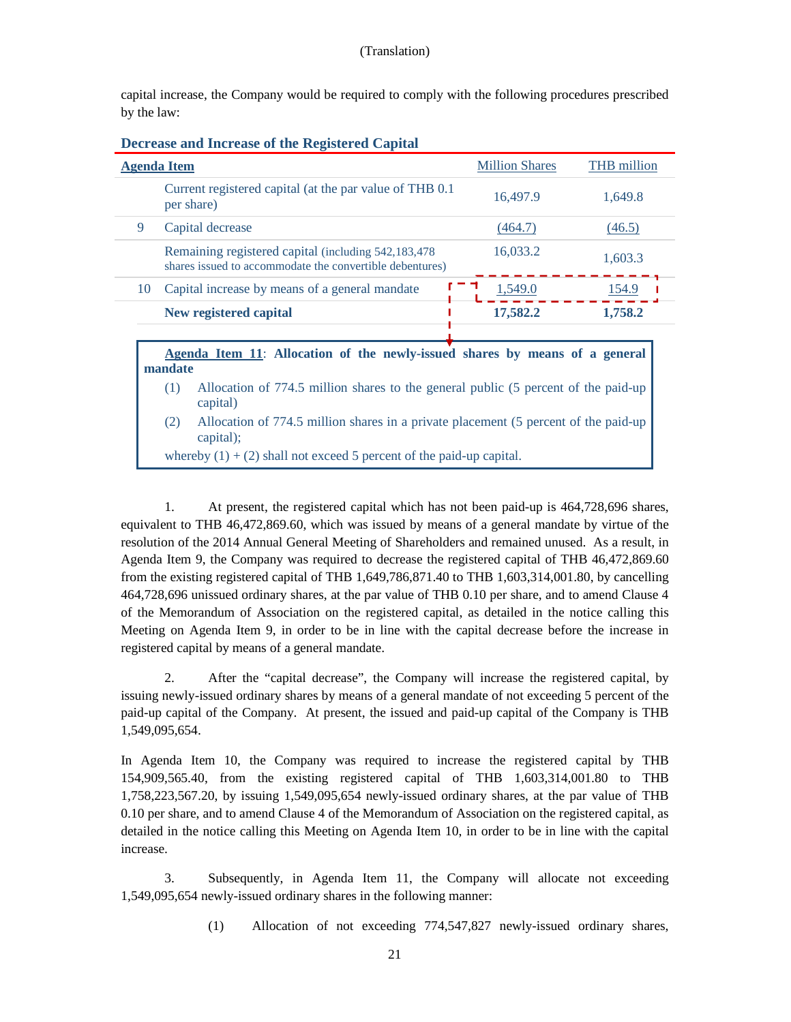capital increase, the Company would be required to comply with the following procedures prescribed by the law:

| <b>Decrease and Increase of the Registered Capital</b> |  |  |
|--------------------------------------------------------|--|--|
|                                                        |  |  |
|                                                        |  |  |

| <b>Agenda Item</b>                                                                                               | <b>Million Shares</b> | <b>THB</b> million |
|------------------------------------------------------------------------------------------------------------------|-----------------------|--------------------|
| Current registered capital (at the par value of THB 0.1)<br>per share)                                           | 16,497.9              | 1,649.8            |
| Capital decrease<br>9                                                                                            | (464.7)               | (46.5)             |
| Remaining registered capital (including 542,183,478)<br>shares issued to accommodate the convertible debentures) | 16,033.2              | 1,603.3            |
| Capital increase by means of a general mandate<br>10                                                             | 1.549.0               | 154.9              |
| New registered capital                                                                                           | 17,582.2              | 1,758.2            |
|                                                                                                                  |                       |                    |

**Agenda Item 11**: **Allocation of the newly-issued shares by means of a general mandate**

- (1) Allocation of 774.5 million shares to the general public (5 percent of the paid-up capital)
- (2) Allocation of 774.5 million shares in a private placement (5 percent of the paid-up capital);

whereby  $(1) + (2)$  shall not exceed 5 percent of the paid-up capital.

1. At present, the registered capital which has not been paid-up is 464,728,696 shares, equivalent to THB 46,472,869.60, which was issued by means of a general mandate by virtue of the resolution of the 2014 Annual General Meeting of Shareholders and remained unused. As a result, in Agenda Item 9, the Company was required to decrease the registered capital of THB 46,472,869.60 from the existing registered capital of THB 1,649,786,871.40 to THB 1,603,314,001.80, by cancelling 464,728,696 unissued ordinary shares, at the par value of THB 0.10 per share, and to amend Clause 4 of the Memorandum of Association on the registered capital, as detailed in the notice calling this Meeting on Agenda Item 9, in order to be in line with the capital decrease before the increase in registered capital by means of a general mandate.

2. After the "capital decrease", the Company will increase the registered capital, by issuing newly-issued ordinary shares by means of a general mandate of not exceeding 5 percent of the paid-up capital of the Company. At present, the issued and paid-up capital of the Company is THB 1,549,095,654.

In Agenda Item 10, the Company was required to increase the registered capital by THB 154,909,565.40, from the existing registered capital of THB 1,603,314,001.80 to THB 1,758,223,567.20, by issuing 1,549,095,654 newly-issued ordinary shares, at the par value of THB 0.10 per share, and to amend Clause 4 of the Memorandum of Association on the registered capital, as detailed in the notice calling this Meeting on Agenda Item 10, in order to be in line with the capital increase.

3. Subsequently, in Agenda Item 11, the Company will allocate not exceeding 1,549,095,654 newly-issued ordinary shares in the following manner:

(1) Allocation of not exceeding 774,547,827 newly-issued ordinary shares,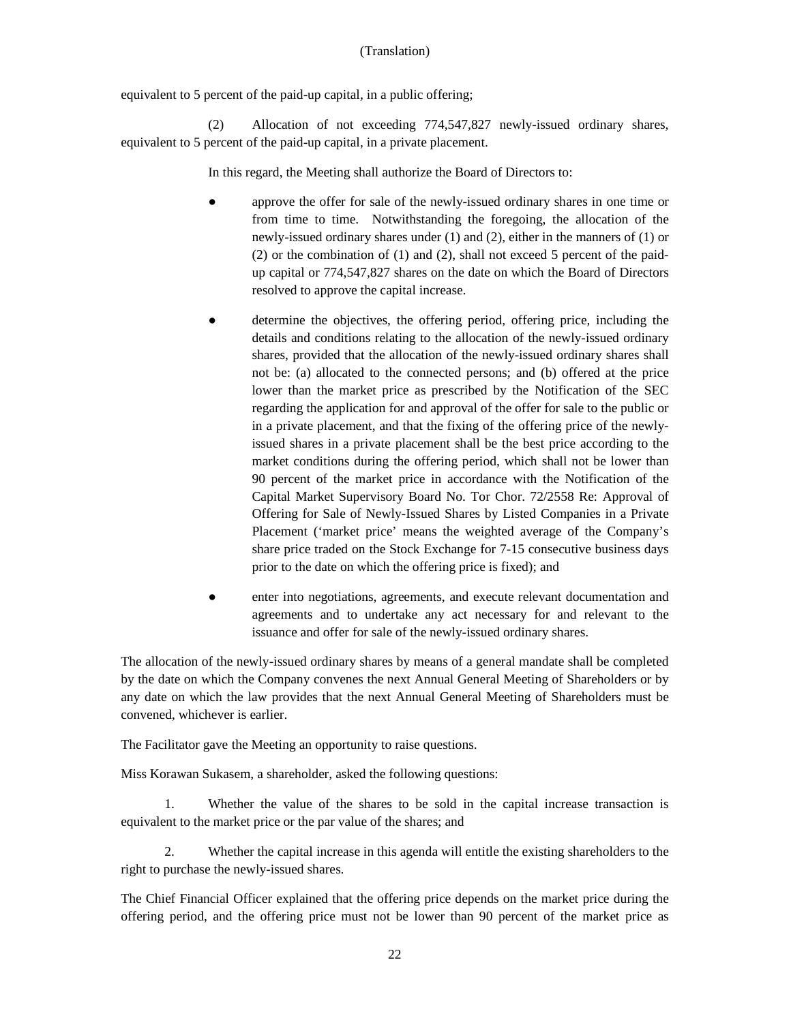equivalent to 5 percent of the paid-up capital, in a public offering;

(2) Allocation of not exceeding 774,547,827 newly-issued ordinary shares, equivalent to 5 percent of the paid-up capital, in a private placement.

In this regard, the Meeting shall authorize the Board of Directors to:

- approve the offer for sale of the newly-issued ordinary shares in one time or from time to time. Notwithstanding the foregoing, the allocation of the newly-issued ordinary shares under (1) and (2), either in the manners of (1) or (2) or the combination of (1) and (2), shall not exceed 5 percent of the paidup capital or 774,547,827 shares on the date on which the Board of Directors resolved to approve the capital increase.
- determine the objectives, the offering period, offering price, including the details and conditions relating to the allocation of the newly-issued ordinary shares, provided that the allocation of the newly-issued ordinary shares shall not be: (a) allocated to the connected persons; and (b) offered at the price lower than the market price as prescribed by the Notification of the SEC regarding the application for and approval of the offer for sale to the public or in a private placement, and that the fixing of the offering price of the newlyissued shares in a private placement shall be the best price according to the market conditions during the offering period, which shall not be lower than 90 percent of the market price in accordance with the Notification of the Capital Market Supervisory Board No. Tor Chor. 72/2558 Re: Approval of Offering for Sale of Newly-Issued Shares by Listed Companies in a Private Placement ('market price' means the weighted average of the Company's share price traded on the Stock Exchange for 7-15 consecutive business days prior to the date on which the offering price is fixed); and
- enter into negotiations, agreements, and execute relevant documentation and agreements and to undertake any act necessary for and relevant to the issuance and offer for sale of the newly-issued ordinary shares.

The allocation of the newly-issued ordinary shares by means of a general mandate shall be completed by the date on which the Company convenes the next Annual General Meeting of Shareholders or by any date on which the law provides that the next Annual General Meeting of Shareholders must be convened, whichever is earlier.

The Facilitator gave the Meeting an opportunity to raise questions.

Miss Korawan Sukasem, a shareholder, asked the following questions:

1. Whether the value of the shares to be sold in the capital increase transaction is equivalent to the market price or the par value of the shares; and

2. Whether the capital increase in this agenda will entitle the existing shareholders to the right to purchase the newly-issued shares.

The Chief Financial Officer explained that the offering price depends on the market price during the offering period, and the offering price must not be lower than 90 percent of the market price as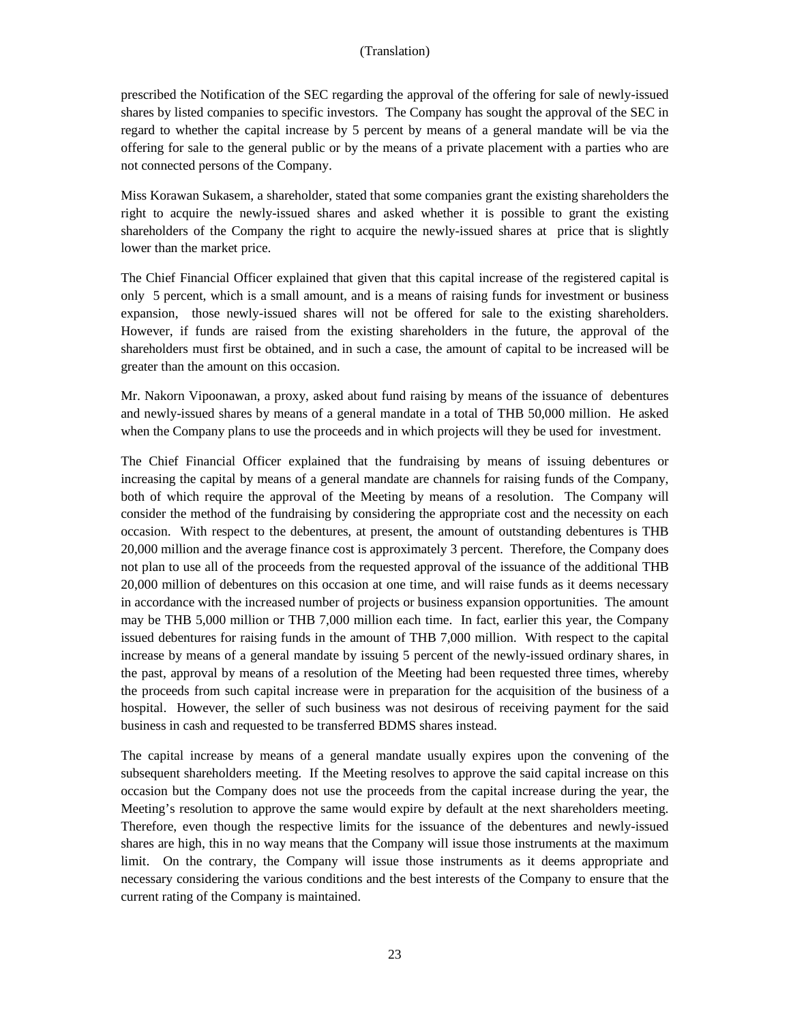prescribed the Notification of the SEC regarding the approval of the offering for sale of newly-issued shares by listed companies to specific investors. The Company has sought the approval of the SEC in regard to whether the capital increase by 5 percent by means of a general mandate will be via the offering for sale to the general public or by the means of a private placement with a parties who are not connected persons of the Company.

Miss Korawan Sukasem, a shareholder, stated that some companies grant the existing shareholders the right to acquire the newly-issued shares and asked whether it is possible to grant the existing shareholders of the Company the right to acquire the newly-issued shares at price that is slightly lower than the market price.

The Chief Financial Officer explained that given that this capital increase of the registered capital is only 5 percent, which is a small amount, and is a means of raising funds for investment or business expansion, those newly-issued shares will not be offered for sale to the existing shareholders. However, if funds are raised from the existing shareholders in the future, the approval of the shareholders must first be obtained, and in such a case, the amount of capital to be increased will be greater than the amount on this occasion.

Mr. Nakorn Vipoonawan, a proxy, asked about fund raising by means of the issuance of debentures and newly-issued shares by means of a general mandate in a total of THB 50,000 million. He asked when the Company plans to use the proceeds and in which projects will they be used for investment.

The Chief Financial Officer explained that the fundraising by means of issuing debentures or increasing the capital by means of a general mandate are channels for raising funds of the Company, both of which require the approval of the Meeting by means of a resolution. The Company will consider the method of the fundraising by considering the appropriate cost and the necessity on each occasion. With respect to the debentures, at present, the amount of outstanding debentures is THB 20,000 million and the average finance cost is approximately 3 percent. Therefore, the Company does not plan to use all of the proceeds from the requested approval of the issuance of the additional THB 20,000 million of debentures on this occasion at one time, and will raise funds as it deems necessary in accordance with the increased number of projects or business expansion opportunities. The amount may be THB 5,000 million or THB 7,000 million each time. In fact, earlier this year, the Company issued debentures for raising funds in the amount of THB 7,000 million. With respect to the capital increase by means of a general mandate by issuing 5 percent of the newly-issued ordinary shares, in the past, approval by means of a resolution of the Meeting had been requested three times, whereby the proceeds from such capital increase were in preparation for the acquisition of the business of a hospital. However, the seller of such business was not desirous of receiving payment for the said business in cash and requested to be transferred BDMS shares instead.

The capital increase by means of a general mandate usually expires upon the convening of the subsequent shareholders meeting. If the Meeting resolves to approve the said capital increase on this occasion but the Company does not use the proceeds from the capital increase during the year, the Meeting's resolution to approve the same would expire by default at the next shareholders meeting. Therefore, even though the respective limits for the issuance of the debentures and newly-issued shares are high, this in no way means that the Company will issue those instruments at the maximum limit. On the contrary, the Company will issue those instruments as it deems appropriate and necessary considering the various conditions and the best interests of the Company to ensure that the current rating of the Company is maintained.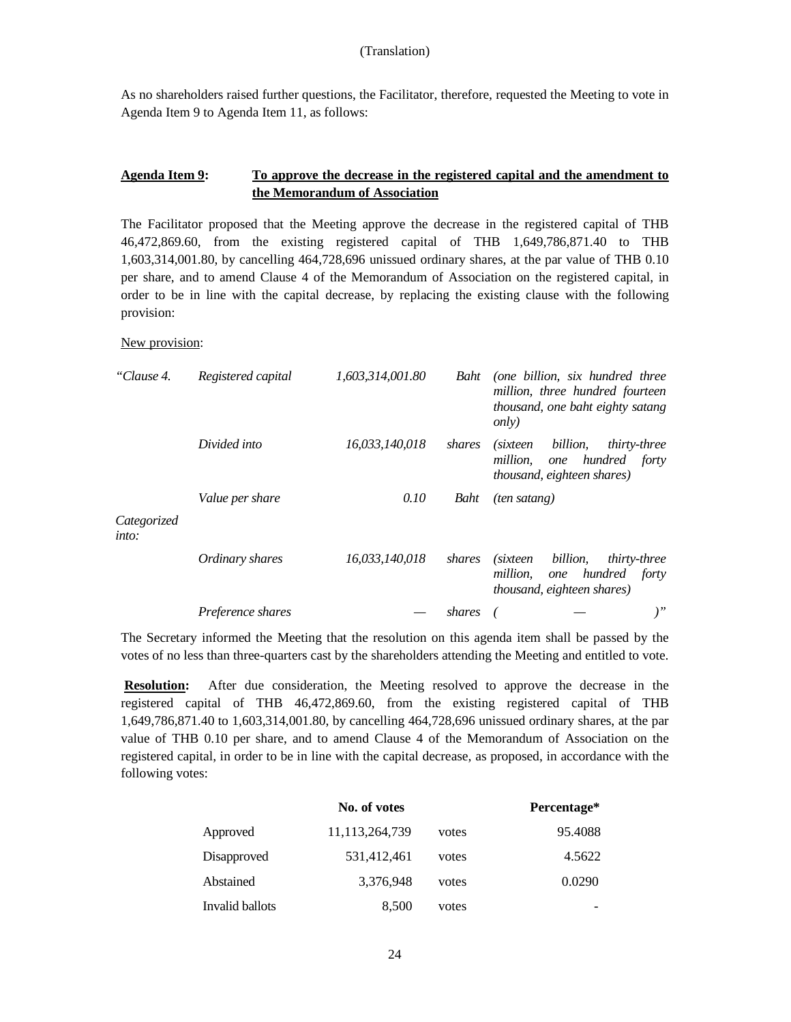As no shareholders raised further questions, the Facilitator, therefore, requested the Meeting to vote in Agenda Item 9 to Agenda Item 11, as follows:

# **Agenda Item 9: To approve the decrease in the registered capital and the amendment to the Memorandum of Association**

The Facilitator proposed that the Meeting approve the decrease in the registered capital of THB 46,472,869.60, from the existing registered capital of THB 1,649,786,871.40 to THB 1,603,314,001.80, by cancelling 464,728,696 unissued ordinary shares, at the par value of THB 0.10 per share, and to amend Clause 4 of the Memorandum of Association on the registered capital, in order to be in line with the capital decrease, by replacing the existing clause with the following provision:

# New provision:

| "Clause 4.           | Registered capital | 1,603,314,001.80 | Baht   | (one billion, six hundred three<br>million, three hundred fourteen<br>thousand, one baht eighty satang<br><i>only</i>        |
|----------------------|--------------------|------------------|--------|------------------------------------------------------------------------------------------------------------------------------|
|                      | Divided into       | 16,033,140,018   | shares | billion,<br><i>thirty-three</i><br><i>(sixteen)</i><br>one hundred forty<br>million,<br><i>thousand, eighteen shares)</i>    |
| Categorized<br>into: | Value per share    | 0.10             | Baht   | <i>(ten satang)</i>                                                                                                          |
|                      | Ordinary shares    | 16,033,140,018   | shares | billion,<br><i>(sixteen)</i><br><i>thirty-three</i><br>hundred forty<br>million,<br>one<br><i>thousand, eighteen shares)</i> |
|                      | Preference shares  |                  | shares | $)$ "                                                                                                                        |

The Secretary informed the Meeting that the resolution on this agenda item shall be passed by the votes of no less than three-quarters cast by the shareholders attending the Meeting and entitled to vote.

**Resolution:** After due consideration, the Meeting resolved to approve the decrease in the registered capital of THB 46,472,869.60, from the existing registered capital of THB 1,649,786,871.40 to 1,603,314,001.80, by cancelling 464,728,696 unissued ordinary shares, at the par value of THB 0.10 per share, and to amend Clause 4 of the Memorandum of Association on the registered capital, in order to be in line with the capital decrease, as proposed, in accordance with the following votes:

|                 | No. of votes      |       | Percentage* |
|-----------------|-------------------|-------|-------------|
| Approved        | 11, 113, 264, 739 | votes | 95.4088     |
| Disapproved     | 531,412,461       | votes | 4.5622      |
| Abstained       | 3,376,948         | votes | 0.0290      |
| Invalid ballots | 8,500             | votes |             |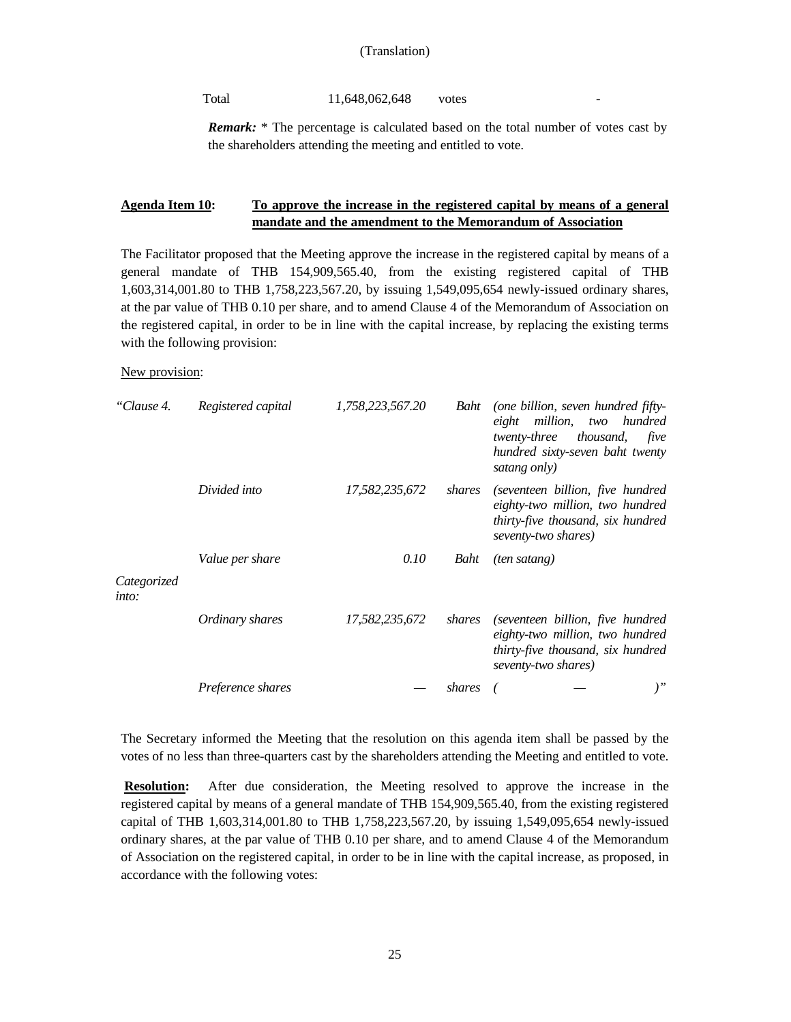#### Total 11,648,062,648 votes

*Remark:* \* The percentage is calculated based on the total number of votes cast by the shareholders attending the meeting and entitled to vote.

# **Agenda Item 10: To approve the increase in the registered capital by means of a general mandate and the amendment to the Memorandum of Association**

The Facilitator proposed that the Meeting approve the increase in the registered capital by means of a general mandate of THB 154,909,565.40, from the existing registered capital of THB 1,603,314,001.80 to THB 1,758,223,567.20, by issuing 1,549,095,654 newly-issued ordinary shares, at the par value of THB 0.10 per share, and to amend Clause 4 of the Memorandum of Association on the registered capital, in order to be in line with the capital increase, by replacing the existing terms with the following provision:

#### New provision:

| "Clause 4.           | Registered capital | 1,758,223,567.20 | Baht   | (one billion, seven hundred fifty-<br>eight million, two hundred<br><i>twenty-three</i><br>thousand,<br>five<br>hundred sixty-seven baht twenty<br>satang only) |
|----------------------|--------------------|------------------|--------|-----------------------------------------------------------------------------------------------------------------------------------------------------------------|
|                      | Divided into       | 17,582,235,672   | shares | (seventeen billion, five hundred<br>eighty-two million, two hundred<br>thirty-five thousand, six hundred<br>seventy-two shares)                                 |
| Categorized<br>into: | Value per share    | 0.10             | Baht   | <i>(ten satang)</i>                                                                                                                                             |
|                      | Ordinary shares    | 17,582,235,672   | shares | (seventeen billion, five hundred<br>eighty-two million, two hundred<br>thirty-five thousand, six hundred<br>seventy-two shares)                                 |
|                      | Preference shares  |                  | shares | $)$ "                                                                                                                                                           |

The Secretary informed the Meeting that the resolution on this agenda item shall be passed by the votes of no less than three-quarters cast by the shareholders attending the Meeting and entitled to vote.

**Resolution:** After due consideration, the Meeting resolved to approve the increase in the registered capital by means of a general mandate of THB 154,909,565.40, from the existing registered capital of THB 1,603,314,001.80 to THB 1,758,223,567.20, by issuing 1,549,095,654 newly-issued ordinary shares, at the par value of THB 0.10 per share, and to amend Clause 4 of the Memorandum of Association on the registered capital, in order to be in line with the capital increase, as proposed, in accordance with the following votes: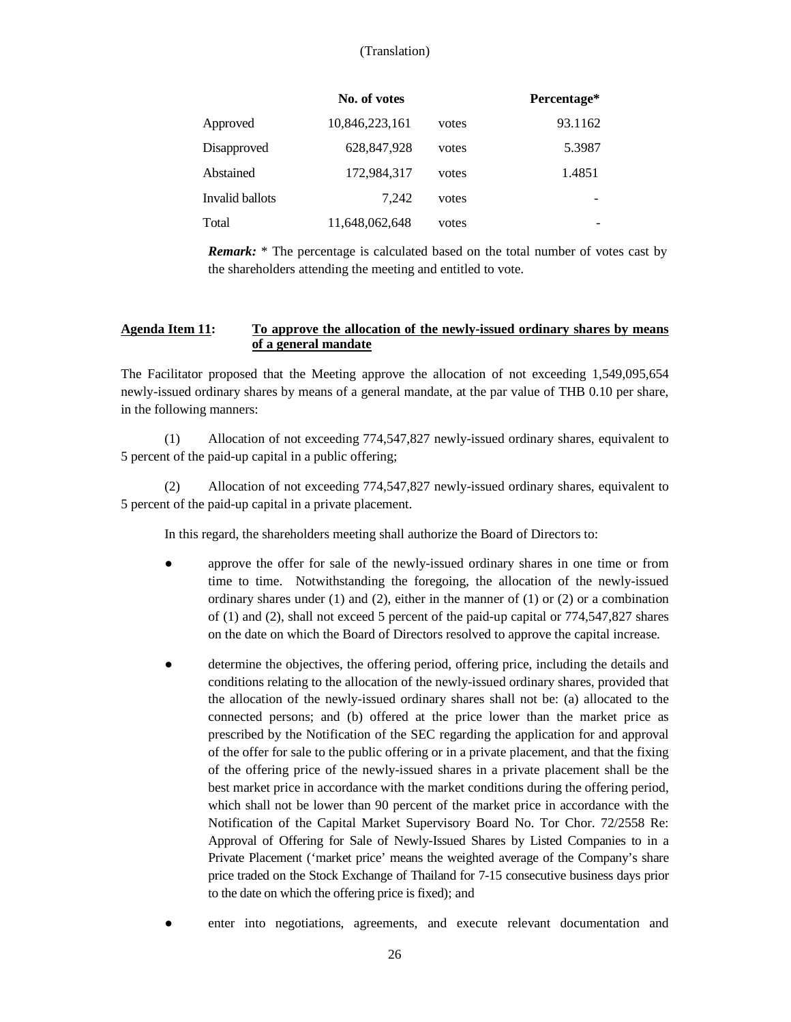|                 | No. of votes   |       | Percentage* |
|-----------------|----------------|-------|-------------|
| Approved        | 10,846,223,161 | votes | 93.1162     |
| Disapproved     | 628, 847, 928  | votes | 5.3987      |
| Abstained       | 172,984,317    | votes | 1.4851      |
| Invalid ballots | 7.242          | votes |             |
| Total           | 11,648,062,648 | votes |             |

*Remark:* \* The percentage is calculated based on the total number of votes cast by the shareholders attending the meeting and entitled to vote.

#### **Agenda Item 11: To approve the allocation of the newly-issued ordinary shares by means of a general mandate**

The Facilitator proposed that the Meeting approve the allocation of not exceeding 1,549,095,654 newly-issued ordinary shares by means of a general mandate, at the par value of THB 0.10 per share, in the following manners:

(1) Allocation of not exceeding 774,547,827 newly-issued ordinary shares, equivalent to 5 percent of the paid-up capital in a public offering;

(2) Allocation of not exceeding 774,547,827 newly-issued ordinary shares, equivalent to 5 percent of the paid-up capital in a private placement.

In this regard, the shareholders meeting shall authorize the Board of Directors to:

- approve the offer for sale of the newly-issued ordinary shares in one time or from time to time. Notwithstanding the foregoing, the allocation of the newly-issued ordinary shares under  $(1)$  and  $(2)$ , either in the manner of  $(1)$  or  $(2)$  or a combination of (1) and (2), shall not exceed 5 percent of the paid-up capital or 774,547,827 shares on the date on which the Board of Directors resolved to approve the capital increase.
- determine the objectives, the offering period, offering price, including the details and conditions relating to the allocation of the newly-issued ordinary shares, provided that the allocation of the newly-issued ordinary shares shall not be: (a) allocated to the connected persons; and (b) offered at the price lower than the market price as prescribed by the Notification of the SEC regarding the application for and approval of the offer for sale to the public offering or in a private placement, and that the fixing of the offering price of the newly-issued shares in a private placement shall be the best market price in accordance with the market conditions during the offering period, which shall not be lower than 90 percent of the market price in accordance with the Notification of the Capital Market Supervisory Board No. Tor Chor. 72/2558 Re: Approval of Offering for Sale of Newly-Issued Shares by Listed Companies to in a Private Placement ('market price' means the weighted average of the Company's share price traded on the Stock Exchange of Thailand for 7-15 consecutive business days prior to the date on which the offering price is fixed); and
- enter into negotiations, agreements, and execute relevant documentation and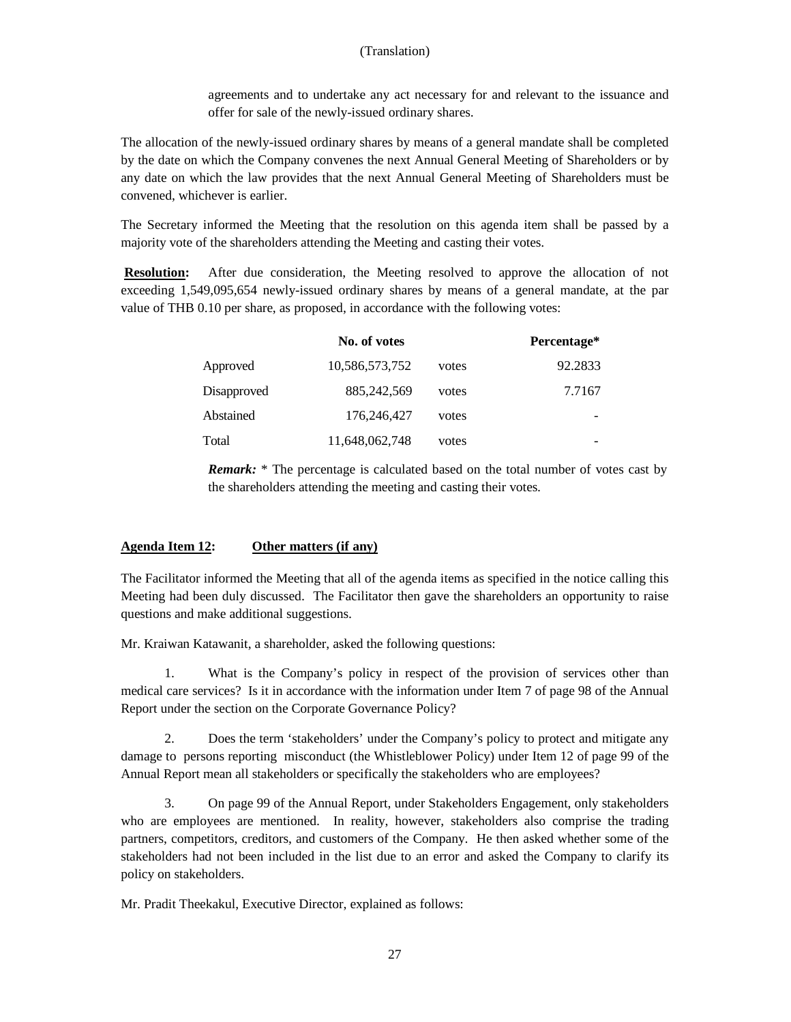agreements and to undertake any act necessary for and relevant to the issuance and offer for sale of the newly-issued ordinary shares.

The allocation of the newly-issued ordinary shares by means of a general mandate shall be completed by the date on which the Company convenes the next Annual General Meeting of Shareholders or by any date on which the law provides that the next Annual General Meeting of Shareholders must be convened, whichever is earlier.

The Secretary informed the Meeting that the resolution on this agenda item shall be passed by a majority vote of the shareholders attending the Meeting and casting their votes.

**Resolution:** After due consideration, the Meeting resolved to approve the allocation of not exceeding 1,549,095,654 newly-issued ordinary shares by means of a general mandate, at the par value of THB 0.10 per share, as proposed, in accordance with the following votes:

|             | No. of votes   |       | Percentage* |
|-------------|----------------|-------|-------------|
| Approved    | 10,586,573,752 | votes | 92.2833     |
| Disapproved | 885, 242, 569  | votes | 7.7167      |
| Abstained   | 176,246,427    | votes |             |
| Total       | 11,648,062,748 | votes |             |

*Remark:* \* The percentage is calculated based on the total number of votes cast by the shareholders attending the meeting and casting their votes.

# **Agenda Item 12: Other matters (if any)**

The Facilitator informed the Meeting that all of the agenda items as specified in the notice calling this Meeting had been duly discussed. The Facilitator then gave the shareholders an opportunity to raise questions and make additional suggestions.

Mr. Kraiwan Katawanit, a shareholder, asked the following questions:

1. What is the Company's policy in respect of the provision of services other than medical care services? Is it in accordance with the information under Item 7 of page 98 of the Annual Report under the section on the Corporate Governance Policy?

2. Does the term 'stakeholders' under the Company's policy to protect and mitigate any damage to persons reporting misconduct (the Whistleblower Policy) under Item 12 of page 99 of the Annual Report mean all stakeholders or specifically the stakeholders who are employees?

3. On page 99 of the Annual Report, under Stakeholders Engagement, only stakeholders who are employees are mentioned. In reality, however, stakeholders also comprise the trading partners, competitors, creditors, and customers of the Company. He then asked whether some of the stakeholders had not been included in the list due to an error and asked the Company to clarify its policy on stakeholders.

Mr. Pradit Theekakul, Executive Director, explained as follows: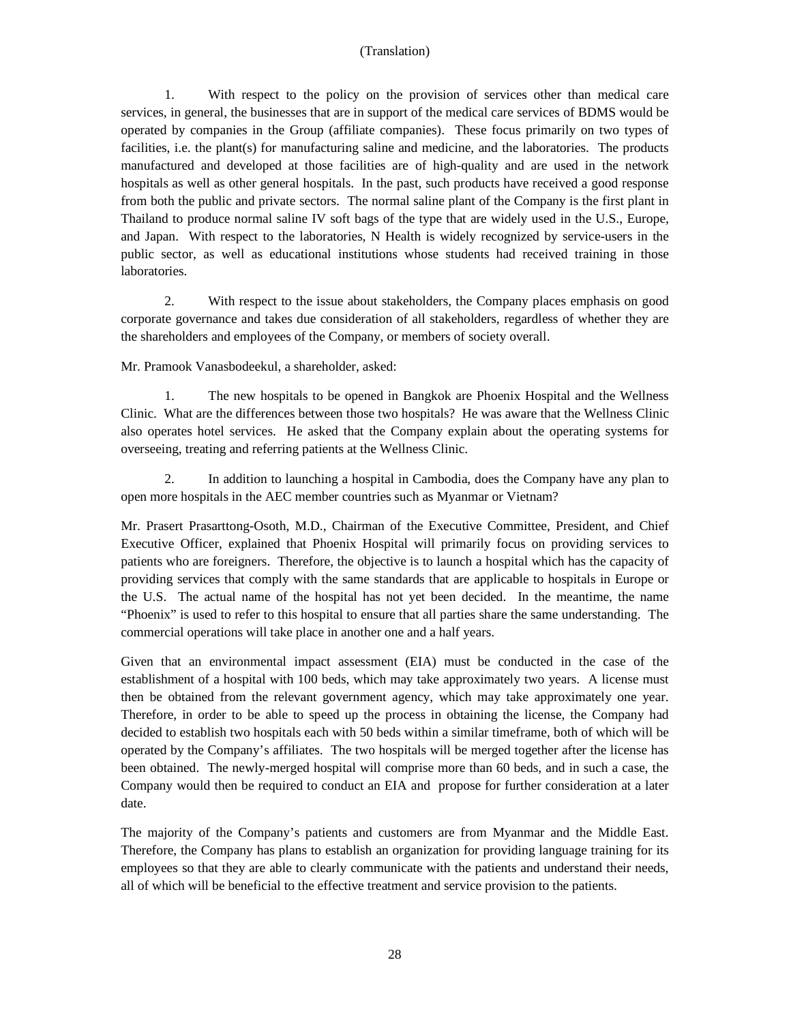1. With respect to the policy on the provision of services other than medical care services, in general, the businesses that are in support of the medical care services of BDMS would be operated by companies in the Group (affiliate companies). These focus primarily on two types of facilities, i.e. the plant(s) for manufacturing saline and medicine, and the laboratories. The products manufactured and developed at those facilities are of high-quality and are used in the network hospitals as well as other general hospitals. In the past, such products have received a good response from both the public and private sectors. The normal saline plant of the Company is the first plant in Thailand to produce normal saline IV soft bags of the type that are widely used in the U.S., Europe, and Japan. With respect to the laboratories, N Health is widely recognized by service-users in the public sector, as well as educational institutions whose students had received training in those laboratories.

2. With respect to the issue about stakeholders, the Company places emphasis on good corporate governance and takes due consideration of all stakeholders, regardless of whether they are the shareholders and employees of the Company, or members of society overall.

Mr. Pramook Vanasbodeekul, a shareholder, asked:

1. The new hospitals to be opened in Bangkok are Phoenix Hospital and the Wellness Clinic. What are the differences between those two hospitals? He was aware that the Wellness Clinic also operates hotel services. He asked that the Company explain about the operating systems for overseeing, treating and referring patients at the Wellness Clinic.

2. In addition to launching a hospital in Cambodia, does the Company have any plan to open more hospitals in the AEC member countries such as Myanmar or Vietnam?

Mr. Prasert Prasarttong-Osoth, M.D., Chairman of the Executive Committee, President, and Chief Executive Officer, explained that Phoenix Hospital will primarily focus on providing services to patients who are foreigners. Therefore, the objective is to launch a hospital which has the capacity of providing services that comply with the same standards that are applicable to hospitals in Europe or the U.S. The actual name of the hospital has not yet been decided. In the meantime, the name "Phoenix" is used to refer to this hospital to ensure that all parties share the same understanding. The commercial operations will take place in another one and a half years.

Given that an environmental impact assessment (EIA) must be conducted in the case of the establishment of a hospital with 100 beds, which may take approximately two years. A license must then be obtained from the relevant government agency, which may take approximately one year. Therefore, in order to be able to speed up the process in obtaining the license, the Company had decided to establish two hospitals each with 50 beds within a similar timeframe, both of which will be operated by the Company's affiliates. The two hospitals will be merged together after the license has been obtained. The newly-merged hospital will comprise more than 60 beds, and in such a case, the Company would then be required to conduct an EIA and propose for further consideration at a later date.

The majority of the Company's patients and customers are from Myanmar and the Middle East. Therefore, the Company has plans to establish an organization for providing language training for its employees so that they are able to clearly communicate with the patients and understand their needs, all of which will be beneficial to the effective treatment and service provision to the patients.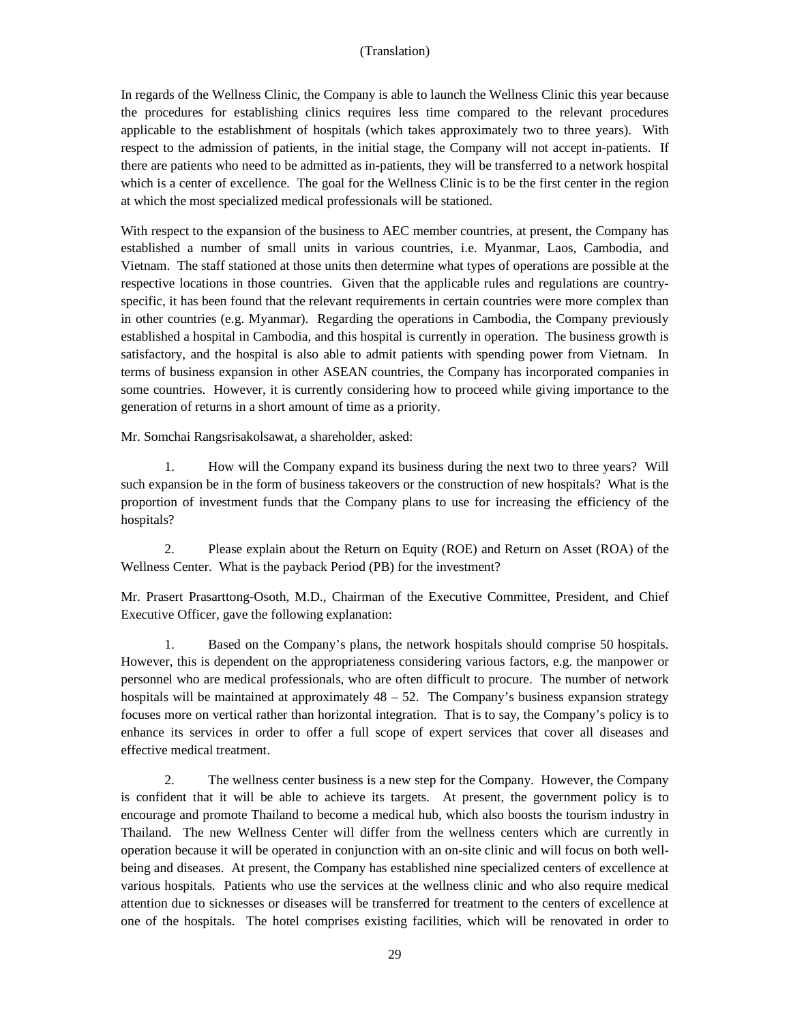In regards of the Wellness Clinic, the Company is able to launch the Wellness Clinic this year because the procedures for establishing clinics requires less time compared to the relevant procedures applicable to the establishment of hospitals (which takes approximately two to three years). With respect to the admission of patients, in the initial stage, the Company will not accept in-patients. If there are patients who need to be admitted as in-patients, they will be transferred to a network hospital which is a center of excellence. The goal for the Wellness Clinic is to be the first center in the region at which the most specialized medical professionals will be stationed.

With respect to the expansion of the business to AEC member countries, at present, the Company has established a number of small units in various countries, i.e. Myanmar, Laos, Cambodia, and Vietnam. The staff stationed at those units then determine what types of operations are possible at the respective locations in those countries. Given that the applicable rules and regulations are countryspecific, it has been found that the relevant requirements in certain countries were more complex than in other countries (e.g. Myanmar). Regarding the operations in Cambodia, the Company previously established a hospital in Cambodia, and this hospital is currently in operation. The business growth is satisfactory, and the hospital is also able to admit patients with spending power from Vietnam. In terms of business expansion in other ASEAN countries, the Company has incorporated companies in some countries. However, it is currently considering how to proceed while giving importance to the generation of returns in a short amount of time as a priority.

Mr. Somchai Rangsrisakolsawat, a shareholder, asked:

1. How will the Company expand its business during the next two to three years? Will such expansion be in the form of business takeovers or the construction of new hospitals? What is the proportion of investment funds that the Company plans to use for increasing the efficiency of the hospitals?

2. Please explain about the Return on Equity (ROE) and Return on Asset (ROA) of the Wellness Center. What is the payback Period (PB) for the investment?

Mr. Prasert Prasarttong-Osoth, M.D., Chairman of the Executive Committee, President, and Chief Executive Officer, gave the following explanation:

1. Based on the Company's plans, the network hospitals should comprise 50 hospitals. However, this is dependent on the appropriateness considering various factors, e.g. the manpower or personnel who are medical professionals, who are often difficult to procure. The number of network hospitals will be maintained at approximately  $48 - 52$ . The Company's business expansion strategy focuses more on vertical rather than horizontal integration. That is to say, the Company's policy is to enhance its services in order to offer a full scope of expert services that cover all diseases and effective medical treatment.

2. The wellness center business is a new step for the Company. However, the Company is confident that it will be able to achieve its targets. At present, the government policy is to encourage and promote Thailand to become a medical hub, which also boosts the tourism industry in Thailand. The new Wellness Center will differ from the wellness centers which are currently in operation because it will be operated in conjunction with an on-site clinic and will focus on both wellbeing and diseases. At present, the Company has established nine specialized centers of excellence at various hospitals. Patients who use the services at the wellness clinic and who also require medical attention due to sicknesses or diseases will be transferred for treatment to the centers of excellence at one of the hospitals. The hotel comprises existing facilities, which will be renovated in order to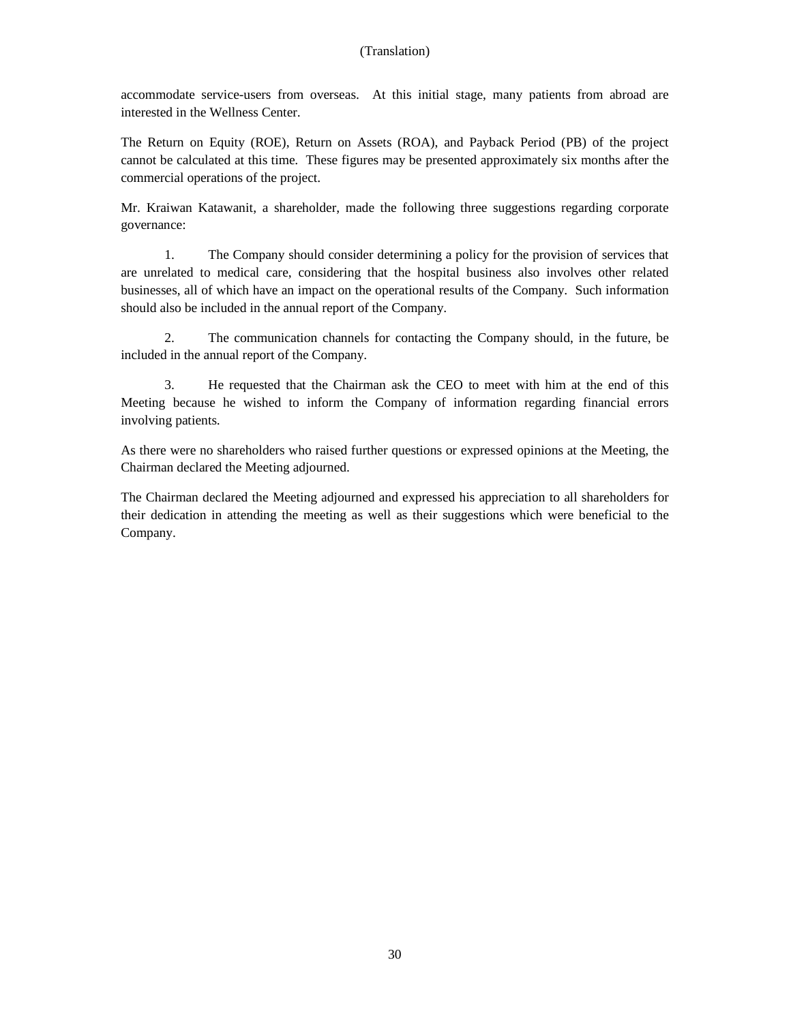accommodate service-users from overseas. At this initial stage, many patients from abroad are interested in the Wellness Center.

The Return on Equity (ROE), Return on Assets (ROA), and Payback Period (PB) of the project cannot be calculated at this time. These figures may be presented approximately six months after the commercial operations of the project.

Mr. Kraiwan Katawanit, a shareholder, made the following three suggestions regarding corporate governance:

1. The Company should consider determining a policy for the provision of services that are unrelated to medical care, considering that the hospital business also involves other related businesses, all of which have an impact on the operational results of the Company. Such information should also be included in the annual report of the Company.

2. The communication channels for contacting the Company should, in the future, be included in the annual report of the Company.

3. He requested that the Chairman ask the CEO to meet with him at the end of this Meeting because he wished to inform the Company of information regarding financial errors involving patients.

As there were no shareholders who raised further questions or expressed opinions at the Meeting, the Chairman declared the Meeting adjourned.

The Chairman declared the Meeting adjourned and expressed his appreciation to all shareholders for their dedication in attending the meeting as well as their suggestions which were beneficial to the Company.